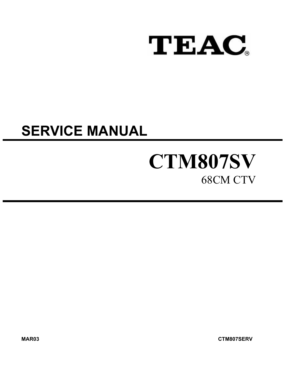

# **SERVICE MANUAL**

# **CTM807SV**  68CM CTV

**MAR03 CTM807SERV**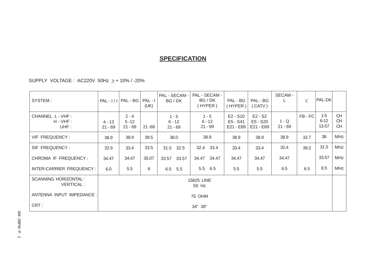# **SPECIFICATION**

SUPPLY VOLTAGE : AC220V 50Hz > + 10% / -20%

| SYSTEM:                                         | $PAL - 1/1$           | PAL - BG                         | $PAL - I$<br>(UK) | PAL - SECAM -<br>BG / DK         | PAL - SECAM -<br>BG / DK<br>(HYPER) | PAL - BG<br>(HYPER)               | PAL - BG<br>(CATV)                 | SECAM -              | Ľ     | PAL-DK                     |                              |
|-------------------------------------------------|-----------------------|----------------------------------|-------------------|----------------------------------|-------------------------------------|-----------------------------------|------------------------------------|----------------------|-------|----------------------------|------------------------------|
| CHANNEL L - VHF :<br>$H - VHF$ :<br>UHF:        | $4 - 13$<br>$21 - 69$ | $2 - 4$<br>$5 - 12$<br>$21 - 69$ | $21 - 69$         | $1 - 5$<br>$6 - 12$<br>$21 - 69$ | $1 - 5$<br>$6 - 12$<br>$21 - 69$    | E2 - S10<br>E5 - S41<br>E21 - E69 | $E2 - S2$<br>E5 - S20<br>E21 - E69 | $1 - Q$<br>$21 - 69$ | FB-FC | $1-5$<br>$6 - 12$<br>13-57 | <b>CH</b><br><b>CH</b><br>CH |
| VIF FREQUENCY:                                  | 38.9                  | 38.9                             | 39.5              | 38.0                             | 38.9                                | 38.9                              | 38.9                               | 38.9                 | 32.7  | 38                         | <b>MHz</b>                   |
| SIF FREQUENCY:                                  | 32.9                  | 33.4                             | 33.5              | 31.5 32.5                        | 32.4 33.4                           | 33.4                              | 33.4                               | 32.4                 | 39.2  | 31.5                       | <b>MHz</b>                   |
| CHROMA IF FREQUENCY:                            | 34.47                 | 34.47                            | 35.07             | 33.57<br>33.57                   | 34.47<br>34.47                      | 34.47                             | 34.47                              | 34.47                |       | 33.57                      | MHz                          |
| INTER-CARRIER FREQUENCY:                        | 6.0                   | 5.5                              | 6                 | 6.5<br>5.5                       | 5.5<br>6.5                          | 5.5                               | 5.5                                | 6.5                  | 6.5   | 6.5                        | MHz                          |
| <b>SCANNING HORIZONTAL:</b><br><b>VERTICAL:</b> |                       | 15625 LINE<br>50 Hz              |                   |                                  |                                     |                                   |                                    |                      |       |                            |                              |
| ANTENNA INPUT IMPEDANCE:                        |                       |                                  |                   |                                  | 75 OHM                              |                                   |                                    |                      |       |                            |                              |
| CRT:                                            |                       | 34" 38"                          |                   |                                  |                                     |                                   |                                    |                      |       |                            |                              |

SM-38PM P. 1 SM -38PM P. 1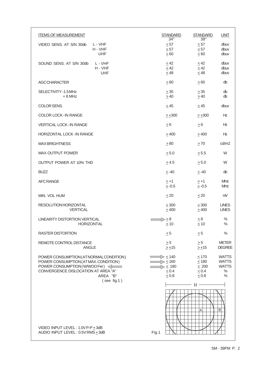| <b>ITEMS OF MEASUREMENT</b>                                                                                                                                          | <b>STANDARD</b><br>34"                                                                                                   | <b>STANDARD</b><br>38"                                             | <b>UNIT</b>                                                           |
|----------------------------------------------------------------------------------------------------------------------------------------------------------------------|--------------------------------------------------------------------------------------------------------------------------|--------------------------------------------------------------------|-----------------------------------------------------------------------|
| VIDEO SENS. AT S/N 30db<br>L - VHF                                                                                                                                   | $\leq 57$                                                                                                                | $\leq 57$                                                          | dbuv                                                                  |
| H - VHF<br><b>UHF</b>                                                                                                                                                | $\leq 57$<br>$\leq 60$                                                                                                   | $\leq 57$<br>$\leq 60$                                             | dbuv<br>dbuv                                                          |
| SOUND SENS, AT S/N 30db<br>L - VHF                                                                                                                                   | < 42                                                                                                                     | < 42                                                               | dbuv                                                                  |
| H - VHF<br>UHF                                                                                                                                                       | $\leq$ 42<br>$\leq 48$                                                                                                   | $\leq$ 42<br>$\leq$ 48                                             | dbuv<br>dbuv                                                          |
| <b>AGCCHARACTER</b>                                                                                                                                                  | > 60                                                                                                                     | $\geq 60$                                                          | db                                                                    |
| SELECTIVITY -1.5 MHz<br>$+8$ MHz                                                                                                                                     | $\geq$ 35<br>$\geq 40$                                                                                                   | $\geq$ 35<br>$\geq 40$                                             | db<br>db                                                              |
| COLOR SENS.                                                                                                                                                          | < 45                                                                                                                     | < 45                                                               | dbuv                                                                  |
| <b>COLOR LOCK-IN RANGE</b>                                                                                                                                           | $> +300$                                                                                                                 | $> +300$                                                           | Ηz                                                                    |
| <b>VERTICAL LOCK-IN RANGE</b>                                                                                                                                        | $\geq 6$                                                                                                                 | $\geq 6$                                                           | <b>Hz</b>                                                             |
| <b>HORIZONTAL LOCK-IN RANGE</b>                                                                                                                                      | >400                                                                                                                     | >400                                                               | Ηz                                                                    |
| <b>MAX BRIGHTNESS</b>                                                                                                                                                | $\geq 80$                                                                                                                | $\geq 70$                                                          | cd/m2                                                                 |
| <b>MAX OUTPUT POWER</b>                                                                                                                                              | $\geq 5.0$                                                                                                               | > 5.5                                                              | W                                                                     |
| OUTPUT POWER AT 10% THD                                                                                                                                              | > 4.5                                                                                                                    | > 5.0                                                              | W                                                                     |
| <b>BUZZ</b>                                                                                                                                                          | $\leq -40$                                                                                                               | $\leq -40$                                                         | db                                                                    |
| <b>AFC RANGE</b>                                                                                                                                                     | $> +1$<br>$\geq -0.5$                                                                                                    | $> +1$<br>$\geq -0.5$                                              | <b>MHz</b><br><b>MHz</b>                                              |
| MIN. VOL HUM                                                                                                                                                         | $\leq 20$                                                                                                                | < 20                                                               | mV                                                                    |
| RESOLUTION HORIZONTAL<br><b>VERTICAL</b>                                                                                                                             | $\geq 300$<br>$\geq 400$                                                                                                 | $\geq 300$<br>$\geq 400$                                           | <b>LINES</b><br><b>LINES</b>                                          |
| <b>LINEARITY DISTORTION VERTICAL</b><br>HORIZONTAL                                                                                                                   | $\langle 227772\rangle \rangle \leq 8$<br>$\leq 10$                                                                      | $\leq 8$<br>$\leq 10$                                              | $\%$<br>$\%$                                                          |
| <b>RASTER DISTORTION</b>                                                                                                                                             | $\leq 5$                                                                                                                 | $\leq 5$                                                           | $\%$                                                                  |
| REMOTE CONTROL DISTANCE<br><b>ANGLE</b>                                                                                                                              | $\geq 5$<br>$\geq \pm 15$                                                                                                | $\geq 5$<br>$\geq \pm 15$                                          | <b>METER</b><br><b>DEGREE</b>                                         |
| POWER CONSUMPTION (AT NORMAL CONDITION)<br>POWER CONSUMPTION (ATMAX.CONDITION)<br>POWER CONSUMPTION (W/WOO Fer) <<br>CONVERGENCE DISLOCATION AT AREA "A"<br>AREA "B" | $\overline{ZZZZZ} \geq 140$<br>$\overline{0.22222/20} \ge 160$<br>$\overline{22222/2} > 180$<br>$\leq 0.4$<br>$\leq 0.8$ | $\leq$ 170<br>$\leq 180$<br>$\leq 200$<br>$\leq 0.4$<br>$\leq 0.8$ | <b>WATTS</b><br><b>WATTS</b><br><b>WATTS</b><br>$\%$<br>$\frac{0}{0}$ |
| $($ see fig.1)<br>VIDEO INPUT LEVEL: 1.0V P-P + 3dB<br>AUDIO INPUT LEVEL: 0.5V RMS + 3dB                                                                             | Fig.1                                                                                                                    | H<br>A                                                             | B                                                                     |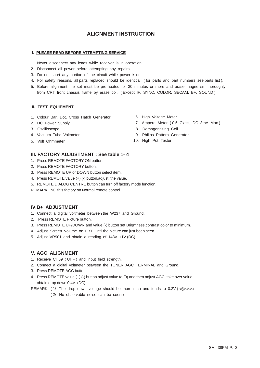# **ALIGNMENT INSTRUCTION**

#### **I. PLEASE READ BEFORE ATTEMPTING SERVICE**

- 1. Never disconnect any leads while receiver is in operation.
- 2. Disconnect all power before attempting any repairs.
- 3. Do not short any portion of the circuit while power is on.
- 4. For safety reasons, all parts replaced should be identical, ( for parts and part numbers see parts list ).
- 5. Before alignment the set must be pre-heated for 30 minutes or more and erase magnetism thoroughly from CRT front chassis frame by erase coil. ( Except IF, SYNC, COLOR, SECAM, B+, SOUND )

#### **II. TEST EQUIPMENT**

- 1. Colour Bar, Dot, Cross Hatch Generator
- 2. DC Power Supply
- 3. Oscilloscope
- 4. Vacuum Tube Voltmeter
- 
- 6. High Voltage Meter
- 7. Ampere Meter ( 0.5 Class, DC 3mA Max )
- 8. Demagentizing Coil
- 9. Philips Pattern Generator
- 5. Volt Ohmmeter 10. High Pot Tester

#### **III. FACTORY ADJUSTMENT : See table 1- 4**

- 1. Press REMOTE FACTORY ON button.
- 2. Press REMOTE FACTORY button.
- 3. Press REMOTE UP or DOWN button select item.
- 4. Press REMOTE value (+) (-) button,adjust the value.
- 5. REMOTE DIALOG CENTRE button can turn off factory mode function.

REMARK : NO this factory on Normal remote control .

#### **IV.B+ ADJUSTMENT**

- 1. Connect a digital voltmeter between the W237 and Ground.
- 2. Press REMOTE Picture button.
- 3. Press REMOTE UP/DOWN and value (-) button set Brigntness,contrast,color to minimum.
- 4. Adjust Screen Volume on FBT Until the picture can just been seen.
- 5. Adjust VR901 and obtain a reading of 143V +1V (DC).

## **V. AGC ALIGNMENT**

- 1. Receive CH69 ( UHF ) and input field strength.
- 2. Connect a digital voltmeter between the TUNER AGC TERMINAL and Ground.
- 3. Press REMOTE AGC button.
- 4. Press REMOTE value (+) (-) button adjust value to (0) and then adjust AGC take over value obtain drop down 0.4V. (DC)
- REMARK : (1/ The drop down voltage should be more than and tends to 0.2V)  $\ll$ 
	- ( 2/ No observable noise can be seen )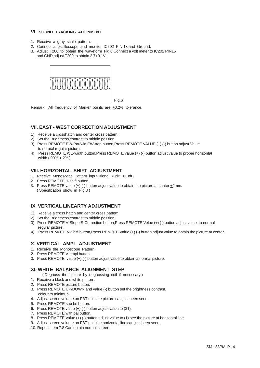#### **VI. SOUND TRACKING ALIGNMENT**

- 1. Receive a gray scale pattern.
- 2. Connect a oscilloscope and monitor IC202 PIN 13 and Ground.
- 3. Adjust T200 to obtain the waveform Fig.6.Connect a volt meter to IC202 PIN15 and GND,adjust T200 to obtain 2.7+0.1V.



Remark: All frequency of Marker points are  $\pm 0.2$ % tolerance.

# **VII. EAST - WEST CORRECTION ADJUSTMENT**

- 1) Receive a crosshatch and center cross pattem.
- 2) Set the Brightness,contrast to middle position.
- 3) Press REMOTE EW-Par/wid,EW-trap button,Press REMOTE VALUE (+) (-) button adjust Value to normal regular picture.

Fig.6

4) Press REMOTE WE-width button,Press REMOTE value (+) (-) button adjust value to proper horizontal width ( $90\% + 2\%$ )

## **VIII. HORIZONTAL SHIFT ADJUSTMENT**

- 1. Receive Monoscope Pattern input signal 70dB +10dB.
- 2. Press REMOTE H-shift button.
- 3. Press REMOTE value  $(+)$  (-) button adjust value to obtain the picture at center  $\pm 2$ mm. ( Specification show in Fig.8 )

# **IX. VERTICAL LINEARTY ADJUSTMENT**

- 1) Receive a cross hatch and center cross pattem.
- 2) Set the Brightness,contrast to middle position.
- 3) Press REMOTE V-SIope,S-Correction button,Press REMOTE Velue (+) (-) button adjust value to normal regular picture.
- 4) Press REMOTE V-Shift button,Press REMOTE Value (+) (-) button adjust value to obtain the picture at center.

# **X. VERTICAL AMPL ADJUSTMENT**

- 1. Receive the Monoscope Pattern.
- 2. Press REMOTE V-ampl button.
- 3. Press REMOTE value (+) (-) button adjust value to obtain a normal picture.

## **XI. WHITE BALANCE ALIGNMENT STEP**

- ( Degauss the picture by degaussing coil if necessary )
- 1. Receive a black and white pattern.
- 2. Press REMOTE picture button.
- 3. Press REMOTE UP/DOWN and value (-) button set the brightness,contrast,
- colour to minimun. 4. Adjust screen volume on FBT unitl the picture can just been seen.
- 
- 5. Press REMOTE sub bri button.
- 6. Press REMOTE value (+) (-) button adjust value to (31).
- 7. Press REMOTE with bal button.
- 8. Press REMOTE Value (+) (-) button adjust value to (1) see the picture at horizontal line.
- 9. Adjust screen volume on FBT until the horizontal line can just been seen.
- 10. Repeat item 7.8 Can obtain normal screen.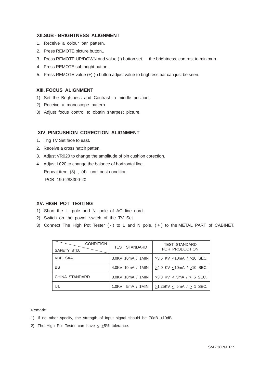## **XII.SUB - BRIGHTNESS ALIGNMENT**

- 1. Receive a colour bar pattern.
- 2. Press REMOTE picture button,.
- 3. Press REMOTE UP/DOWN and value (-) button set the brightness, contrast to minimun.
- 4. Press REMOTE sub bright button.
- 5. Press REMOTE value (+) (-) button adjust value to brightess bar can just be seen.

## **XIII. FOCUS ALIGNMENT**

- 1) Set the Brightness and Contrast to middle position.
- 2) Receive a monoscope pattern.
- 3) Adjust focus control to obtain sharpest picture.

## **XIV. PINCUSHION CORECTION ALIGNMENT**

- 1. Thg TV Set face to east.
- 2. Receive a cross hatch patten.
- 3. Adjust VR020 to change the amplitude of pin cushion corection.

4. Adjust L020 to change the balance of horizontal line.

Repeat item (3) , (4) until best condition.

PCB 190-283300-20

# **XV. HIGH POT TESTING**

- 1) Short the L pole and N pole of AC line cord.
- 2) Switch on the power switch of the TV Set.
- 3) Connect The High Pot Tester ( ) to L and N pole, ( + ) to the METAL PART of CABINET.

| <b>CONDITION</b><br>SAFETY STD. | <b>TEST STANDARD</b> | TEST STANDARD<br>FOR PRODUCTION |
|---------------------------------|----------------------|---------------------------------|
| VDE, SAA                        | 3.0KV 10mA / 1MIN    | $>3.5$ KV < 10 mA / $>10$ SEC.  |
| <b>BS</b>                       | 4.0KV 10mA / 1MIN    | >4.0 KV <10mA / >10 SEC.        |
| CHINA STANDARD                  | 3.0KV 10mA / 1MIN    | $>3.3$ KV < 5mA / $> 6$ SEC.    |
| UL                              | 1.0KV<br>5mA / 1MIN  | $>1.25$ KV < 5mA / $> 1$ SEC.   |

Remark:

- 1) If no other specify, the strength of input signal should be  $70dB \pm 10dB$ .
- 2) The High Pot Tester can have  $\leq$  +5% tolerance.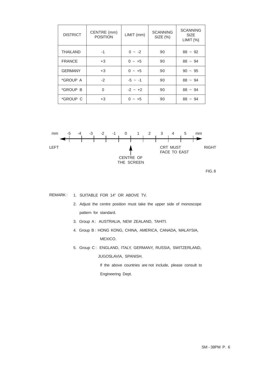| <b>DISTRICT</b>        | CENTRE (mm)<br><b>POSITION</b> | LIMIT (mm)  | <b>SCANNING</b><br>$SIZE$ $%$ | <b>SCANNING</b><br><b>SIZE</b><br>LIMIT (%) |
|------------------------|--------------------------------|-------------|-------------------------------|---------------------------------------------|
| <b>THAILAND</b>        | $-1$                           | $0 - -2$    | 90                            | $88 \sim 92$                                |
| <b>FRANCE</b>          | $+3$                           | $0 - +5$    | 90                            | $88 - 94$                                   |
| <b>GERMANY</b>         | $+3$                           | $0 - +5$    | 90                            | $90 - 95$                                   |
| <i><b>*GROUP A</b></i> | $-2$                           | $-5$ ~ $-1$ | 90                            | $88 - 94$                                   |
| *GROUP B               | 0                              | $-2 - 12$   | 90                            | $88 - 94$                                   |
| *GROUP C               | $+3$                           | $0 \sim +5$ | 90                            | $88 - 94$                                   |



REMARK : 1. SUITABLE FOR 14" OR ABOVE TV.

- 2. Adjust the centre position must take the upper side of monoscope pattern for standard.
- 3. Group A: AUSTRALIA, NEW ZEALAND, TAHITI.
- 4. Group B : HONG KONG, CHINA, AMERICA, CANADA, MALAYSIA, MEXICO.
- 5. Group C : ENGLAND, ITALY, GERMANY, RUSSIA, SWITZERLAND, JUGOSLAVIA, SPANISH.

 If the above countries are not include, please consult to Engineering Dept.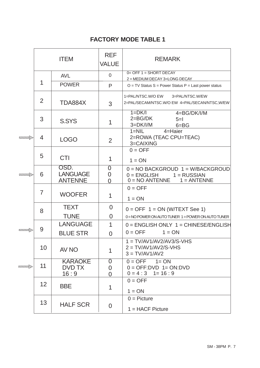|                | <b>ITEM</b>     |                                           | <b>REF</b><br><b>VALUE</b>       | <b>REMARK</b>                                                                                          |
|----------------|-----------------|-------------------------------------------|----------------------------------|--------------------------------------------------------------------------------------------------------|
|                |                 | <b>AVL</b>                                | $\overline{0}$                   | $0 =$ OFF 1 = SHORT DECAY<br>2 = MEDIUM DECAY 3=LONG DECAY                                             |
|                | 1               | <b>POWER</b>                              | P                                | $O = TV$ Status S = Power Status P = Last power status                                                 |
|                | 2               | TDA884X                                   | 3                                | 1=PAL/NTSC.W/O EW 3=PAL/NTSC.W/EW<br>2=PAL/SECAM/NTSC.W/O EW 4=PAL/SECAN/NTSC,W/EW                     |
|                | 3               | S.SYS                                     | 1                                | $1=DK/I$<br>4=BG/DK/I/M<br>$2 = BG/DK$<br>$5=$<br>$3=DK/I/M$<br>$6 = BG$                               |
| <b>TITTIN</b>  | 4               | <b>LOGO</b>                               | 2                                | 4=Haier<br>$1 = NIL$<br>2=ROWA (TEAC CPU=TEAC)<br>3=CAIXING                                            |
|                | 5               | <b>CTI</b>                                | 1                                | $0 = OFF$<br>$1 = ON$                                                                                  |
| <b>TITTIN</b>  | 6               | OSD.<br><b>LANGUAGE</b><br><b>ANTENNE</b> | 0<br>$\overline{0}$<br>$\Omega$  | $0 = NO$ BACKGROUD $1 = W/BACK$ GROUD<br>$0 = ENGLISH$ $1 = RUSSIAN$<br>$0 = NO$ ANTENNE $1 = ANTENNE$ |
|                | 7               | <b>WOOFER</b>                             | 1                                | $0 = OFF$<br>$1 = ON$                                                                                  |
|                | 8               | <b>TEXT</b><br><b>TUNE</b>                | $\overline{0}$<br>$\overline{0}$ | $0 = OFF 1 = ON (W/TEXT See 1)$<br>0=NO POWER ON AUTO TUNER 1=POWER ON AUTO TUNER                      |
| <b>THIND</b>   | 9               | <b>LANGUAGE</b><br><b>BLUE STR</b>        | $\mathbf 1$<br>$\overline{0}$    | $0 =$ ENGLISH ONLY $1 =$ CHINESE/ENGLISH<br>$0 = OFF$<br>$1 = ON$                                      |
|                | 10              | AV NO                                     | 1                                | $1 = TV/AVI/AV2/AV3/S-VHS$<br>$2 = TV/AVI/AV2/S-VHS$<br>$3 = TV/AV1/AV2$                               |
| <b>TITIDAD</b> | 11              | <b>KARAOKE</b><br>DVD TX<br>16:9          | 0<br>0<br>0                      | $0 = OFF$ 1= ON<br>$0 = OFF: DVD 1 = ON: DVD$<br>$0 = 4 : 3 \quad 1 = 16 : 9$                          |
|                | 12 <sup>°</sup> | <b>BBE</b>                                | 1                                | $0 = OFF$<br>$1 = ON$                                                                                  |
|                | 13              | <b>HALF SCR</b>                           | $\overline{0}$                   | $0 =$ Picture<br>$1 = HACF$ Picture                                                                    |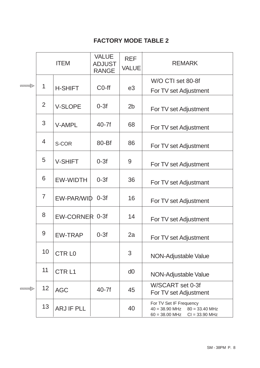|                        |                | <b>ITEM</b>       | <b>VALUE</b><br><b>ADJUST</b><br><b>RANGE</b> | <b>REF</b><br><b>VALUE</b> | <b>REMARK</b>                                                                                           |
|------------------------|----------------|-------------------|-----------------------------------------------|----------------------------|---------------------------------------------------------------------------------------------------------|
| <i><del>anno</del></i> | $\mathbf 1$    | <b>H-SHIFT</b>    | C <sub>0</sub> -ff                            | e3                         | W/O CTI set 80-8f<br>For TV set Adjustment                                                              |
|                        | $\overline{2}$ | <b>V-SLOPE</b>    | $0-3f$                                        | 2 <sub>b</sub>             | For TV set Adjustment                                                                                   |
|                        | 3              | <b>V-AMPL</b>     | $40-7f$                                       | 68                         | For TV set Adjustment                                                                                   |
|                        | $\overline{4}$ | S-COR             | 80-Bf                                         | 86                         | For TV set Adjustment                                                                                   |
|                        | 5              | <b>V-SHIFT</b>    | $0-3f$                                        | 9                          | For TV set Adjustment                                                                                   |
|                        | 6              | <b>EW-WIDTH</b>   | $0-3f$                                        | 36                         | For TV set Adjustmant                                                                                   |
|                        | $\overline{7}$ | EW-PAR/WID 0-3f   |                                               | 16                         | For TV set Adjustment                                                                                   |
|                        | 8              | EW-CORNER 0-3f    |                                               | 14                         | For TV set Adjustment                                                                                   |
|                        | 9              | <b>EW-TRAP</b>    | $0-3f$                                        | 2a                         | For TV set Adjustment                                                                                   |
|                        | 10             | <b>CTRL0</b>      |                                               | 3                          | NON-Adjustable Value                                                                                    |
|                        | 11             | CTR <sub>L1</sub> |                                               | d0                         | NON-Adjustable Value                                                                                    |
| <b>TITTIN</b>          | 12             | <b>AGC</b>        | $40-7f$                                       | 45                         | W/SCART set 0-3f<br>For TV set Adjustment                                                               |
|                        | 13             | <b>ARJ IF PLL</b> |                                               | 40                         | For TV Set IF Frequency<br>$40 = 38.90$ MHz<br>$80 = 33.40$ MHz<br>$60 = 38.00$ MHz<br>$Cl = 33.90$ MHz |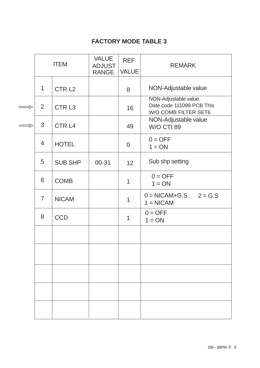|              |                | <b>ITEM</b>       | <b>VALUE</b><br><b>ADJUST</b> | <b>REF</b>     | <b>REMARK</b>                                                             |
|--------------|----------------|-------------------|-------------------------------|----------------|---------------------------------------------------------------------------|
|              |                |                   | <b>RANGE</b>                  | <b>VALUE</b>   |                                                                           |
|              | 1              | CTR <sub>L2</sub> |                               | 8              | NON-Adjustable value                                                      |
| WITTING      | 2              | CTR <sub>L3</sub> |                               | 16             | NON-Adjustable value<br>Date code 111099 PCB This<br>W/O COMB FILTER SET6 |
| <b>umily</b> | 3              | CTR <sub>L4</sub> |                               | 49             | NON-Adjustable value<br><b>W/O CTI 89</b>                                 |
|              | $\overline{4}$ | <b>HOTEL</b>      |                               | $\overline{0}$ | $0 = OFF$<br>$1 = ON$                                                     |
|              | 5              | <b>SUB SHP</b>    | 00-31                         | 12             | Sub shp setting                                                           |
|              | 6              | <b>COMB</b>       |                               | 1              | $0 = OFF$<br>$1 = ON$                                                     |
|              | $\overline{7}$ | <b>NICAM</b>      |                               | $\mathbf 1$    | $0 = \text{NICAM+G.S}$ $2 = \text{G.S}$<br>$1 = NICAM$                    |
|              | 8              | <b>CCD</b>        |                               | 1              | $0 = OFF$<br>$1 = ON$                                                     |
|              |                |                   |                               |                |                                                                           |
|              |                |                   |                               |                |                                                                           |
|              |                |                   |                               |                |                                                                           |
|              |                |                   |                               |                |                                                                           |
|              |                |                   |                               |                |                                                                           |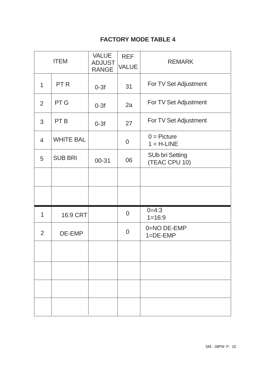|                | <b>ITEM</b>      | <b>VALUE</b><br><b>ADJUST</b><br><b>RANGE</b> | <b>REF</b><br><b>VALUE</b> | <b>REMARK</b>                           |
|----------------|------------------|-----------------------------------------------|----------------------------|-----------------------------------------|
| 1              | PT <sub>R</sub>  | $0-3f$                                        | 31                         | For TV Set Adjustment                   |
| $\overline{2}$ | PT G             | $0-3f$                                        | 2a                         | For TV Set Adjustment                   |
| 3              | PT <sub>B</sub>  | $0-3f$                                        | 27                         | For TV Set Adjustment                   |
| $\overline{4}$ | <b>WHITE BAL</b> |                                               | $\overline{0}$             | $0 =$ Picture<br>$1 = H-LINE$           |
| 5              | <b>SUB BRI</b>   | $00 - 31$                                     | 06                         | <b>SUb bri Setting</b><br>(TEAC CPU 10) |
|                |                  |                                               |                            |                                         |
|                |                  |                                               |                            |                                         |
| $\mathbf 1$    | 16:9 CRT         |                                               | $\overline{0}$             | $0=4:3$<br>$1 = 16:9$                   |
| $\overline{2}$ | DE-EMP           |                                               | $\overline{0}$             | 0=NO DE-EMP<br>$1 = DE-EMP$             |
|                |                  |                                               |                            |                                         |
|                |                  |                                               |                            |                                         |
|                |                  |                                               |                            |                                         |
|                |                  |                                               |                            |                                         |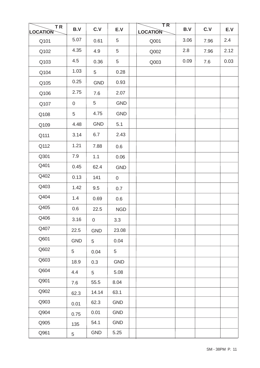| <b>TR</b><br><b>LOCATION</b> | B.V            | C.V            | E.V             | <b>TR</b><br><b>LOCATION</b> | B.V  | C.V  | E.V  |
|------------------------------|----------------|----------------|-----------------|------------------------------|------|------|------|
| Q101                         | 5.07           | 0.61           | 5               | Q001                         | 3.06 | 7.96 | 2.4  |
| Q102                         | 4.35           | 4.9            | 5               | Q002                         | 2.8  | 7.96 | 2.12 |
| Q103                         | 4.5            | 0.36           | 5               | Q003                         | 0.09 | 7.6  | 0.03 |
| Q104                         | 1.03           | 5 <sup>5</sup> | 0.28            |                              |      |      |      |
| Q105                         | 0.25           | <b>GND</b>     | 0.93            |                              |      |      |      |
| Q106                         | 2.75           | 7.6            | 2.07            |                              |      |      |      |
| Q107                         | $\overline{0}$ | 5 <sup>5</sup> | <b>GND</b>      |                              |      |      |      |
| Q108                         | 5              | 4.75           | <b>GND</b>      |                              |      |      |      |
| Q109                         | 4.48           | <b>GND</b>     | 5.1             |                              |      |      |      |
| Q111                         | 3.14           | 6.7            | 2.43            |                              |      |      |      |
| Q112                         | 1.21           | 7.88           | 0.6             |                              |      |      |      |
| Q301                         | 7.9            | 1.1            | 0.06            |                              |      |      |      |
| Q401                         | 0.45           | 62.4           | <b>GND</b>      |                              |      |      |      |
| Q402                         | 0.13           | 141            | 0               |                              |      |      |      |
| Q403                         | 1.42           | 9.5            | 0.7             |                              |      |      |      |
| Q404                         | 1.4            | 0.69           | 0.6             |                              |      |      |      |
| Q405                         | 0.6            | 22.5           | <b>NGD</b>      |                              |      |      |      |
| Q406                         | 3.16           | 0              | 3.3             |                              |      |      |      |
| Q407                         | 22.5           | <b>GND</b>     | 23.08           |                              |      |      |      |
| Q601                         | <b>GND</b>     | 5              | 0.04            |                              |      |      |      |
| Q602                         | 5              | 0.04           | $5\phantom{.0}$ |                              |      |      |      |
| Q603                         | 18.9           | 0.3            | <b>GND</b>      |                              |      |      |      |
| Q604                         | 4.4            | 5              | 5.08            |                              |      |      |      |
| Q901                         | 7.6            | 55.5           | 8.04            |                              |      |      |      |
| Q902                         | 62.3           | 14.14          | 63.1            |                              |      |      |      |
| Q903                         | 0.01           | 62.3           | GND             |                              |      |      |      |
| Q904                         | 0.75           | 0.01           | GND             |                              |      |      |      |
| Q905                         | 135            | 54.1           | <b>GND</b>      |                              |      |      |      |
| Q961                         | 5              | GND            | 5.25            |                              |      |      |      |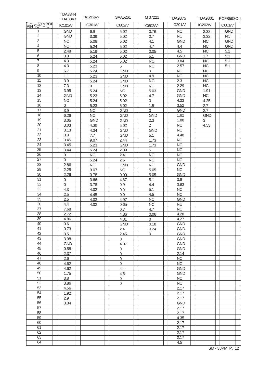|                       | <b>TDA8844</b><br><b>TDA8843</b> | <b>TA1219AN</b>        | SAA5261             | M 37221                | <b>TDA9875</b>         | <b>TDA9801</b> | PCF8598C-2             |
|-----------------------|----------------------------------|------------------------|---------------------|------------------------|------------------------|----------------|------------------------|
| PIN NO VMBOL          | IC101/V                          | IC301/V                | IC802/V             | IC602/V                | IC201/V                | IC202/V        | IC601/V                |
| 1                     | <b>GND</b>                       | 6.9                    | 5.02                | 0.76                   | NC                     | 3.32           | <b>GND</b>             |
| $\overline{2}$        | <b>GND</b>                       | 3.39                   | 5.02                | 0.7                    | NC                     | 3.32           | $\overline{\text{NC}}$ |
| $\overline{3}$        | NC                               | 5.08                   | 5.02                | 4.1                    | <b>GND</b>             | NC             | <b>GND</b>             |
| $\overline{4}$        | <b>NC</b>                        | 5.24                   | 5.02                | 4.7                    | 4.4                    | NC             | <b>GND</b>             |
| $\overline{5}$        | 2.48                             | 5.19                   | 5.02                | 0.05                   | 4.5                    | NC             | 5.1                    |
| $\overline{6}$        | 3.3                              | 5.24                   | 5.02                | 5.1                    | <b>GND</b>             | 1.7            | 5.1                    |
| $\overline{7}$        | 4.3                              | 5.24                   | 5.02                | <b>NC</b>              | 3.84                   | <b>NC</b>      | 5.1                    |
| $\overline{8}$        | 4.3                              | 5.23                   | 5                   | NC                     | 2.57                   | NC             | 5.1                    |
| $\overline{9}$        | 6.7                              | 5.24                   | <b>GND</b>          | 0                      | $\overline{NC}$        | <b>NC</b>      |                        |
| 10                    | 1.1                              | 5.23                   | GND                 | 4.9                    | $\overline{\text{NC}}$ | NC             |                        |
| 11                    | 3.9                              | 5.24                   | <b>GND</b>          | NC                     | 2.3                    | NC             |                        |
| $\overline{12}$       | 7.3                              | 0                      | <b>GND</b>          | NC                     | 2.29                   | NC             |                        |
| 13                    | 3.95                             | 5.24                   | NC                  | 5.03                   | <b>GND</b>             | 1.91           |                        |
| 14                    | <b>GND</b>                       | 5.23                   | 5.02                | 4.7                    | <b>GND</b>             | NC             |                        |
| 15                    | NC                               | 5.24                   | 5.02                | $\overline{0}$         | 4.33                   | 4.25           |                        |
| 16                    | 0                                | 5.23                   | 5.02                | 1.5                    | 3.52                   | 2.7            |                        |
| 17                    | 3.9                              | NC                     | <b>GND</b>          | 0                      | <b>GND</b>             | 2.7            |                        |
| 18                    | 6.26                             | NC                     | <b>GND</b>          | <b>GND</b>             | 1.82                   | <b>GND</b>     |                        |
| $\overline{19}$       | 3.05                             | <b>GND</b>             | GND                 | 2.3                    | 1.88                   | 3              |                        |
| $\overline{20}$       | 3.03                             | 4.39                   | 5.02                | $\overline{2}$         | $\overline{NC}$        | 4.53           |                        |
| $\overline{21}$       | 3.13                             | 4.34                   | <b>GND</b>          | <b>GND</b>             | $\overline{\text{NC}}$ |                |                        |
| $\overline{22}$       | 3.3                              | 7.7                    | <b>GND</b>          | 5.1                    | 4.48                   |                |                        |
| $\overline{23}$       | 3.45                             | 9.07                   | 2.44                | 1.73                   | NC                     |                |                        |
| $\overline{24}$       | 3.45                             | 5.23                   | <b>GND</b>          | 1.73                   | NC                     |                |                        |
| 25                    | 3.44                             | 5.24                   | 2.09                | 5                      | NC                     |                |                        |
| $\overline{26}$       | 0                                | NC                     | 2.4                 | NC                     | NC                     |                |                        |
| $\overline{27}$       | $\overline{0}$                   | 5.24                   | 2.5                 | NC                     | $\overline{\text{NC}}$ |                |                        |
| $\overline{28}$       | 2.86                             | $\overline{\text{NC}}$ | <b>GND</b>          | $\overline{\text{NC}}$ | <b>GND</b>             |                |                        |
| 29                    | 2.25                             | 9.07                   | $NC$                | 5.05                   | NC                     |                |                        |
| $\overline{30}$       | 2.26                             | 3.78                   | 0.09                | 5.05                   | <b>GND</b>             |                |                        |
| 31                    | 0                                | 3.66                   | 4.67                | 5.1                    | 3.9                    |                |                        |
| 32<br>$\overline{33}$ | $\overline{0}$                   | 3.78                   | 0.9                 | 4.4                    | 3.63                   |                |                        |
| $\overline{34}$       | 4.3                              | 4.02                   | 0.9                 | 5.1                    | NC                     |                |                        |
| 35                    | 2.5                              | 4.45                   | 0.9                 | 4.5                    | NC                     |                |                        |
| 36                    | 2.5<br>4.4                       | 4.03                   | 4.97                | NC                     | <b>GND</b><br>NC       |                |                        |
| 37                    | 7.68                             | 4.02                   | 0.65                | NC                     |                        |                |                        |
| 38                    |                                  |                        | 0.7                 | 4.7                    | NC                     |                |                        |
| 39                    | 2.72                             |                        | 4.86                | 0.06                   | 4.28<br>4.27           |                |                        |
| 40                    | 4.86<br>0.6                      |                        | 4.81<br><b>GND</b>  | $\overline{0}$<br>0.18 | <b>GND</b>             |                |                        |
| 41                    | 0.73                             |                        | 2.4                 | 0.24                   | <b>GND</b>             |                |                        |
| 42                    | 3.5                              |                        | 2.45                | $\overline{0}$         | <b>GND</b>             |                |                        |
| 43                    | 3.98                             |                        | $\overline{0}$      |                        | <b>GND</b>             |                |                        |
| 44                    | <b>GND</b>                       |                        | 4.97                |                        | GND                    |                |                        |
| 45                    | 0.58                             |                        | $\mathsf{O}\xspace$ |                        | GND                    |                |                        |
| 46                    | 2.37                             |                        | $\overline{0}$      |                        | 2.14                   |                |                        |
| 47                    | 2.6                              |                        | $\overline{0}$      |                        | NC                     |                |                        |
| 48                    | 4.62                             |                        | $\overline{0}$      |                        | NC                     |                |                        |
| 49                    | 4.62                             |                        | 4.4                 |                        | <b>GND</b>             |                |                        |
| 50                    | 1.75                             |                        | 4.6                 |                        | <b>GND</b>             |                |                        |
| 51                    | 3.8                              |                        | $\mathsf{O}$        |                        | $\sf NC$               |                |                        |
| 52                    | 3.86                             |                        | $\overline{0}$      |                        | NC                     |                |                        |
| 53                    | 4.56                             |                        |                     |                        | 2.17                   |                |                        |
| 54                    | 1.92                             |                        |                     |                        | 2.17                   |                |                        |
| 55                    | 2.9                              |                        |                     |                        | 2.17                   |                |                        |
| 56                    | 3.34                             |                        |                     |                        | <b>GND</b>             |                |                        |
| 57                    |                                  |                        |                     |                        | 2.17                   |                |                        |
| 58                    |                                  |                        |                     |                        | 2.17                   |                |                        |
| 59                    |                                  |                        |                     |                        | 4.35                   |                |                        |
| 60                    |                                  |                        |                     |                        | 2.17                   |                |                        |
| 61                    |                                  |                        |                     |                        | 2.17                   |                |                        |
| 62                    |                                  |                        |                     |                        | 2.17                   |                |                        |
| 63                    |                                  |                        |                     |                        | 2.17                   |                |                        |
| 64                    |                                  |                        |                     |                        | 4.5                    |                |                        |
|                       |                                  |                        |                     |                        |                        |                |                        |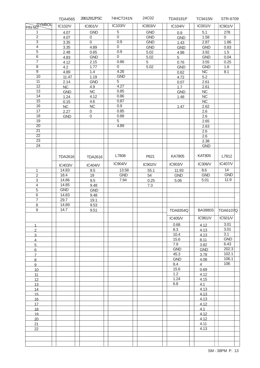|                 | <b>TDA4565</b> | 28612912PSC      | 74HCT241N      | 24C02      | <b>TDA9181P</b> | <b>TC9415N</b> | STR-6709            |
|-----------------|----------------|------------------|----------------|------------|-----------------|----------------|---------------------|
| PIN NO          | IC102/V        | IC801/V          | IC103/V        | IC803/V    | IC104/V         | IC001/V        | IC901/V             |
| 1               | 4.07           | <b>GND</b>       | $\,$ 5 $\,$    | <b>GND</b> | 0.9             | 5.1            | 278                 |
| $\overline{2}$  | 4.07           | $\mathbf 0$      | $\mathbf 0$    | <b>GND</b> | <b>GND</b>      | 1.58           | $\mathsf{O}\xspace$ |
| $\overline{3}$  | 3.35           | 0                | 0.9            | <b>GND</b> | 1.43            | 2.87           | 1.86                |
| $\overline{4}$  | 3.35           | 4.89             | $\overline{0}$ | <b>GND</b> | <b>GND</b>      | <b>GND</b>     | 0.83                |
| $\overline{5}$  | 2.48           | 0.65             | 0.9            | 5.02       | 4.98            | 3.92           | 1.5                 |
| $\,6$           |                |                  | $\mathbf 0$    |            |                 |                |                     |
|                 | 4.83           | <b>GND</b>       |                | 5.02       | $5\overline{)}$ | <b>GND</b>     | 0.04                |
| $\overline{7}$  | 4.12           | 2.15             | 0.86           | 5          | 0.76            | 3.55           | 0.25                |
| $\overline{8}$  | 4.2            | 1.77             | $\mathbf 0$    | 5.02       | <b>GND</b>      | <b>GND</b>     | 1.8                 |
| $\overline{9}$  | 4.89           | 1.4              | 4.26           |            | 0.62            | NC             | 8.1                 |
| 10              | 11.47          | 1.19             | <b>GND</b>     |            | 4.72            | 5.2            |                     |
| 11              | 2.14           | <b>GND</b>       | 5              |            | 0.07            | 2.61           |                     |
| $\overline{12}$ | NC             | 4.9              | 4.27           |            | 1.7             | 2.61           |                     |
| 13              |                | NC               | 0.85           |            |                 |                |                     |
| $\overline{14}$ | <b>GND</b>     |                  |                |            | <b>GND</b>      | NC             |                     |
|                 | 1.24           | 4.12             | 0.86           |            | 1.48            | $NC$           |                     |
| $\overline{15}$ | 0.15           | 4.6              | 0.87           |            |                 | NC             |                     |
| 16              | NC             | <b>NC</b>        | 0.9            |            | 1.47            | 2.62           |                     |
| 17              | 2.27           | $\boldsymbol{0}$ | 0.85           |            |                 | 2.6            |                     |
| 18              | <b>GND</b>     | $\mathbf 0$      | 0.88           |            |                 | 2.6            |                     |
| 19              |                |                  | 5              |            |                 | 2.65           |                     |
| $\overline{20}$ |                |                  | 4.89           |            |                 | 2.63           |                     |
|                 |                |                  |                |            |                 |                |                     |
| $\overline{21}$ |                |                  |                |            |                 | 2.6            |                     |
| $\overline{22}$ |                |                  |                |            |                 | 2.6            |                     |
| $\overline{23}$ |                |                  |                |            |                 | 2.38           |                     |
| $\overline{24}$ |                |                  |                |            |                 | <b>GND</b>     |                     |
|                 |                |                  |                |            |                 |                |                     |
|                 | <b>TDA2616</b> | <b>TDA2616</b>   | L7808          | P621       | KA7805          | <b>KAT805</b>  | L7812               |
|                 | IC403/V        | IC404/V          | IC904/V        | IC902/V    | IC903/V         | IC306/V        | IC407/V             |
|                 | 14.83          | 9.5              | 13.58          | 55.1       | 11.93           | 8.6            | 14                  |
| 1               |                |                  |                |            |                 |                |                     |
| $\overline{c}$  | 18.4           | 19               | <b>GND</b>     | 54         | <b>GND</b>      | <b>GND</b>     | <b>GND</b>          |
| $\mathfrak{S}$  | 14.86          | 9.5              | 7.94           | 0.25       | 5.06            | 5.01           | 11.9                |
| $\overline{4}$  | 14.85          | 9.48             |                | 7.3        |                 |                |                     |
| $\overline{5}$  | <b>GND</b>     | <b>GND</b>       |                |            |                 |                |                     |
| $\,6$           | 14.83          | 9.48             |                |            |                 |                |                     |
| $\overline{7}$  | 29.7           | 19.1             |                |            |                 |                |                     |
| $\,8\,$         | 14.89          |                  |                |            |                 |                |                     |
|                 |                | 9.53             |                |            |                 |                |                     |
| $\mathsf g$     | 14.7           | 9.51             |                |            | <b>TDA8354Q</b> |                | BA3880S TDA6107Q    |
|                 |                |                  |                |            | IC405/V         | IC961N         | IC501/V             |
|                 |                |                  |                |            |                 |                |                     |
| 1               |                |                  |                |            | 0.68            | 4.12           | 3.01                |
| $\overline{2}$  |                |                  |                |            | 8.3             | 4.13           | 3.01                |
| $\overline{3}$  |                |                  |                |            | 10.4            | 4.13           | 3.1                 |
| $\overline{4}$  |                |                  |                |            | 15.6            | 8.11           | <b>GND</b>          |
| $\overline{5}$  |                |                  |                |            | 7.9             | 3.82           | 6.43                |
| 6               |                |                  |                |            | <b>GND</b>      | <b>GND</b>     | 202.3               |
|                 |                |                  |                |            | 45.3            |                | 102.1               |
| $\overline{7}$  |                |                  |                |            |                 | 3.78           | 106.1               |
| 8               |                |                  |                |            | <b>GND</b>      | 4.08           |                     |
| 9               |                |                  |                |            | 8.4             | $\overline{4}$ | 106                 |
| 10              |                |                  |                |            | 15.6            | 0.69           |                     |
| 11              |                |                  |                |            | 1.2             | 4.12           |                     |
| 12              |                |                  |                |            | 1.24            | 4.15           |                     |
| 13              |                |                  |                |            | 6.8             | 4.1            |                     |
|                 |                |                  |                |            |                 | 4.13           |                     |
| 14              |                |                  |                |            |                 |                |                     |
| 15              |                |                  |                |            |                 | 4.13           |                     |
| 16              |                |                  |                |            |                 | 4.13           |                     |
| 17              |                |                  |                |            |                 | 4.12           |                     |
| 18              |                |                  |                |            |                 | 4.1            |                     |
| 19              |                |                  |                |            |                 | 4.12           |                     |
| 20              |                |                  |                |            |                 | 4.12           |                     |
|                 |                |                  |                |            |                 | 4.11           |                     |
| 21              |                |                  |                |            |                 |                |                     |
| 22              |                |                  |                |            |                 | 4.13           |                     |
|                 |                |                  |                |            |                 |                |                     |
|                 |                |                  |                |            |                 |                |                     |
|                 |                |                  |                |            |                 |                |                     |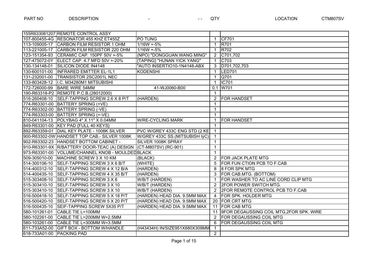|                           | 155R633081207 REMOTE CONTROL ASSY                                 |                                 |                      |                                                 |
|---------------------------|-------------------------------------------------------------------|---------------------------------|----------------------|-------------------------------------------------|
|                           | 107-800455-4G RESONATOR 455 KHZ ET455Z                            | PO TUNG                         | $\mathbf{1}$         | <b>CF701</b>                                    |
|                           | 113-109005-17 CARBON FILM RESISTOR 1 OHM                          | $1/16W + 5%$                    | $\mathbf{1}$         | <b>R701</b>                                     |
|                           | 113-221005-17 CARBON FILM RESISTOR 220 OHM                        | $1/16W + 5%$                    | $\mathbf{1}$         | <b>R702</b>                                     |
|                           | 123-151354-93 CERAMIC CAP. 150PF 50V +-5%                         | (NPO) "DONGGUAN WANG MING"      | $2^{\circ}$          | C701,702                                        |
|                           | 127-475072-0Y   ELECT CAP. 4.7 MFD 50V +-20%                      | {TAPING} "HUNAN YICK YANG"      | $\mathbf{1}$         | C703                                            |
|                           | 130-134148-01 SILICON DIODE IN4148                                | "AUTO INSERTIO10-1N4148-ABX     | 3                    | D701,702,703                                    |
|                           | 130-600101-00  INFRARED EMITTER EL-1L1                            | <b>KODENSHI</b>                 | $\mathbf{1}$         | LED701                                          |
|                           | 131-232001-00 TRANSISTOR 2SC2001L NEC                             |                                 | $\mathbf{1}$         | Q701                                            |
|                           | 133-803428-12   I.C. M34280M1 MITSUBISHI                          |                                 | $\mathbf 1$          | <b>IC701</b>                                    |
|                           | 172-726000-99 BARE WIRE 54MM                                      | 41-WJ0060-B00                   | 0.1                  | W701                                            |
|                           | 190-R63318-P2 REMOTE P.C.B. (28012000)                            |                                 | $\mathbf{1}$         |                                                 |
|                           | 516-260408-10 SELF-TAPPING SCREW 2.6 X 8 P/T                      | (HARDEN)                        | $\overline{2}$       | <b>FOR HANDSET</b>                              |
|                           | 774-R63301-00 BATTERY SPRING (+VE)                                |                                 | $\mathbf{1}$         |                                                 |
|                           | 774-R63302-00   BATTERY SPRING (-VE)                              |                                 | $\mathbf{1}$         |                                                 |
|                           | 774-R63303-00 BATTERY SPRING (+-VE)                               |                                 | $\mathbf{1}$         |                                                 |
|                           | 810-041104-13 POLYBAG 4" X 11" X 0.04MM                           | <b>W/RE-CYCLING MARK</b>        | $\mathbf{1}$         | <b>FOR HANDSET</b>                              |
|                           | 849-R63301-00 KEY PAD {FULL 40 KEYS}                              |                                 | $\mathbf{1}$         |                                                 |
|                           | 892-R63359-01 DIAL KEY PLATE - 1008K SILVER                       | PVC W/GREY 433C ENG STD (2 KE)  | $\mathbf{1}$         |                                                 |
|                           | 900-R63302-0W HANDSET TOP CAB.- SILVER 1008K                      | W/GREY 433C SS. (MITSUBISH IýC) | $\mathbf{1}$         |                                                 |
|                           | 902-R63302-23 HANDSET BOTTOM CABINET -                            | <b>SILVER 1008K SPRAY</b>       | $\mathbf{1}$         |                                                 |
|                           | 910-R63301-9X R/BATTERY DOOR-TEAC (A) DESIGN (CT-M807SV) (RC-901) |                                 | $\mathbf{1}$         |                                                 |
|                           | 973-R63301-00 VOLUME/CHANNEL KNOB - MOULDEDBLACK                  |                                 | $\mathbf{1}$         |                                                 |
|                           | 509-305010-00 MACHINE SCREW 3 X 10 KM                             | (BLACK)                         | $\overline{2}$       | <b>FOR JACK PLATE MTG</b>                       |
|                           | 514-300106-10 SELF-TAPPING SCREW 3 X 6 B/T                        | (WHITE)                         | 5                    | FOR FUN CTION PCB TO F.CAB                      |
|                           | 514-400312-10 SELF-TAPPING SCREW 4 X 12 B/A                       | (HARDEN)                        | 8                    | 8 FOR SPK MTG                                   |
|                           | 514-400435-10 SELF-TAPPING SCREW 4 X 35 B/T                       | (HARDEN)                        | 3                    | FOR CAB.MTG. (BOTTOM)                           |
|                           | 515-303408-10 SELF-TAPPING SCREW 3 X 8                            | W/B/T (HARDEN)                  | $\mathbf{1}$         | FOR WASHER TO AC LINE CORD CLIP MTG             |
|                           | 515-303410-10 SELF-TAPPING SCREW 3 X 10                           | W/B/T (HARDEN)                  | $\mathbf{2}^{\circ}$ | <b>2FOR POWER SWITCH MTG.</b>                   |
|                           | 515-303410-10 SELF-TAPPING SCREW 3 X 10                           | W/B/T (HARDEN)                  | 2                    | <b>2FOR REMOTE CONTROL PCB TO F.CAB</b>         |
|                           | 516-500418-10 SELF-TAPPING SCREW 5 X 18 P/T                       | (HARDEN) HEAD DIA. 9.5MM MAX    | 4                    | <b>FOR SPK. HOLDER MTG</b>                      |
| 516-500420-10             | SELF-TAPPING SCREW 5 X 20 P/T                                     | (HARDEN) HEAD DIA. 9.5MM MAX    |                      | 20 FOR CRT MTG                                  |
| 516-500435-10             | SEIF-TAPPING SCREW 5X35 P/T                                       | (HARDEN) HEAD DIA. 9.5MM MAX    | 11                   | <b>FOR CAB MTG</b>                              |
| 580-101261-01             | CABLE TIE L=100MM                                                 |                                 | 11                   | <b>9FOR DEGAUSSING COIL MTG, 2FOR SPK. WIRE</b> |
| 580-102261-00             | CABLE TIE L=200MM W=2.5MM                                         |                                 |                      | <b>FOR DEGAUSSING COIL MTG</b>                  |
| 580-103261-00             | CABLE TIE L=300MM W=3.5MM                                         |                                 | 6                    | <b>FOR DEGAUSSING COIL MTG</b>                  |
|                           | 611-733A52-00 GIFT BOX - BOTTOM W/HANDLE                          | (H43434H) IN/SIZE951X680X309MM  | $\mathbf{1}$         |                                                 |
| 618-733A01-00 PACKING PAD |                                                                   |                                 | $2^{\circ}$          |                                                 |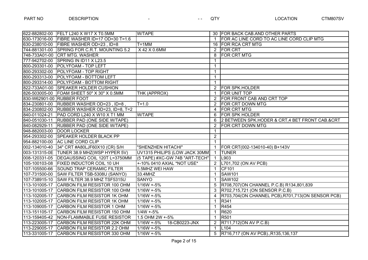|                           | 622-882802-00 FELT L240 X W17 X T0.5MM       | <b>W/TAPE</b>                  |                | 30 FOR BACK CAB.AND OTHER PARTS                   |
|---------------------------|----------------------------------------------|--------------------------------|----------------|---------------------------------------------------|
|                           | 630-173016-00 FIBRE WASHER ID=17 OD=30 T=1.6 |                                | $\mathbf 1$    | FOR AC LINE CORD TO AC LINE CORD CLIP MTG         |
|                           | 630-238010-00 FIBRE WASHER OD=23, ID=8       | $T = 1$ MM                     |                | 16 FOR RCA CRT MTG                                |
|                           | 744-881301-00 SPRING FOR C.R.T. MOUNTING 5.2 | X 42 X 0.6MM                   | $\overline{2}$ | <b>FOR CRT</b>                                    |
|                           | 748-733A01-00 CRT MTG. WASHER                |                                | 8              | <b>FOR CRT MTG</b>                                |
|                           | 777-942702-00 SPRING IN ID11 X L23.5         |                                | $\mathbf 1$    |                                                   |
|                           | 800-293301-00 POLYFOAM - TOP LEFT            |                                | $\mathbf 1$    |                                                   |
|                           | 800-293302-00 POLYFOAM - TOP RIGHT           |                                | $\mathbf 1$    |                                                   |
|                           | 800-293313-00 POLYFOAM - BOTTOM LEFT         |                                | $\mathbf 1$    |                                                   |
|                           | 800-293314-00 POLYFOAM - BOTTOM RIGHT        |                                | $\mathbf{1}$   |                                                   |
|                           | 822-733A01-00 SPEAKER HOLDER CUSHION         |                                | $\overline{2}$ | <b>FOR SPK.HOLDER</b>                             |
|                           | 826-503005-00 FOAM SHEET 50" X 30" X 0.5MM   | THK (APPROX)                   | $\mathbf{1}$   | FOR UNIT TOP                                      |
| 830-W62901-00 RUBBER FOOT |                                              |                                | 2              | FOR FRONT CAB AND CRT TOP                         |
|                           | 834-230801-00 RUBBER WASHER OD=23, ID=8      | $T = 1.0$                      | $\overline{2}$ | <b>FOR CRT DOWN MTG</b>                           |
|                           | 834-230802-00 RUBBER WASHER OD=23, ID=8, T=2 |                                | 4              | <b>FOR CRT MTG</b>                                |
|                           | 840-011024-21 PAD CORD L240 X W10 X T1 MM    | <b>W/TAPE</b>                  | 6              | <b>FOR SPK HOLDER</b>                             |
|                           | 840-051030-11 RUBBER PAD (ONE SIDE W/TAPE)   |                                | 6              | 2 BETWEEN SPK.HODER & CRT,4 BET FRONT CAB.&CRT    |
|                           | 840-082929-11 RUBBER PAD (ONE SIDE W/TAPE)   |                                | 2              | <b>FOR CRT DOWN MTG</b>                           |
|                           | 948-882003-00 DOOR LOCKER                    |                                | $\mathbf{1}$   |                                                   |
|                           | 954-293302-00 SPEAKER HOLDER BLACK PP        |                                | $\overline{2}$ |                                                   |
|                           | 954-882100-00 AC LINE CORD CLIP              |                                | $\mathbf{1}$   |                                                   |
|                           | 002-134010-40 34" CRT #A80LJF60X10 (CR) S/H  | "SHENZHEN HITACHI"             | $\mathbf{1}$   | FOR CRT(002-134010-40) B+143V                     |
|                           | 003-131315-0E TUNER 38.9 MHZ(WSP HYPER 5V)   | UV1315 PHILIPS (LOW JACK 30MM) | $\mathbf{1}$   | <b>TUNER</b>                                      |
|                           | 008-120331-05 DEGAUSSING COIL 120T L=3750MM  | (5 TAPE) #XC-GW 74B "ART-TECH" | $\mathbf{1}$   | L903                                              |
|                           | 105-100103-08   FIXED INDUCTOR COIL 10 UH    | +-10% 0410 AXIAL *NOT USE*     | 2              | L701,702 (ON AV PCB)                              |
|                           | 107-105500-66 SOUND TRAP CERAMIC FILTER      | 5.5MHZ WEI HAW                 | $\mathbf{1}$   | CF101                                             |
|                           | 107-731500-00 SAW FILTER TSB-5308U (SANYO)   | 33.4MHZ                        | $\mathbf 1$    | <b>SAW101</b>                                     |
|                           | 107-738915-10 SAW FILTER 38.9 MHZ TSF5315U   | <b>SANYO</b>                   | $\mathbf{1}$   | <b>SAW102</b>                                     |
|                           | 113-101005-17 CARBON FILM RESISTOR 100 OHM   | $1/16W + 5%$                   | 5              | R708,707(ON CHANNEL P.C.B) R134,801,839           |
|                           | 113-101005-17 CARBON FILM RESISTOR 100 OHM   | $1/16W + 5%$                   | 3              | R702,715,721 (ON SENSOR P.C.B)                    |
|                           | 113-102005-17 CARBON FILM RESISTOR 1K OHM    | $1/16W + 5%$                   | 4              | R703,704(ON CHANNEL PCB), R701,713(ON SENSOR PCB) |
|                           | 113-102005-17 CARBON FILM RESISTOR 1K OHM    | $1/16W + 5%$                   | $\mathbf{1}$   | R341                                              |
| 113-109005-17             | CARBON FILM RESISTOR 1 OHM                   | $1/16W + 5%$                   | 1              | R454                                              |
|                           | 113-151105-17 CARBON FILM RESISTOR 150 OHM   | $1/4W + 5%$                    | $\mathbf 1$    | R620                                              |
|                           | 113-159405-42   NON-FLAMMABLE FUSE RESISTOR  | 1.5 OHM 2W +-5%                | $\mathbf{1}$   | R501                                              |
|                           | 113-223005-17 CARBON FILM RESISTOR 22K OHM   | $1/16W + 5%$<br>18-CB0223-JNX  | 2              | R711,712(ON AV P.C.B)                             |
|                           | 113-229005-17 CARBON FILM RESISTOR 2.2 OHM   | $1/16W + 5%$                   | $\mathbf{1}$   | L <sub>104</sub>                                  |
|                           | 113-331005-17 CARBON FILM RESISTOR 330 OHM   | $1/16W + 5%$                   | $5^{\circ}$    | R716,717 (ON AV PCB)., R135,136,137               |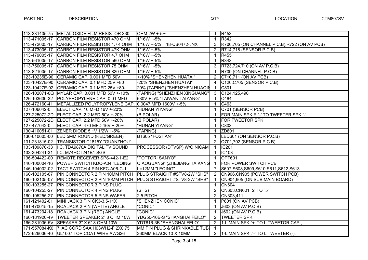|               | 113-331405-75 METAL OXIDE FILM RESISTOR 330                               | OHM 2W +-5%                   | $\mathbf{1}$         | R453                                          |
|---------------|---------------------------------------------------------------------------|-------------------------------|----------------------|-----------------------------------------------|
| 113-471005-17 | CARBON FILM RESISTOR 470 OHM                                              | $1/16W + 5%$                  | $\mathbf{1}$         | <b>R342</b>                                   |
|               | 113-472005-17 CARBON FILM RESISTOR 4.7K OHM                               | $1/16W + 5%$<br>18-CB0472-JNX | 3                    | R706,705 (ON CHANNEL P.C.B), R722 (ON AV PCB) |
|               | 113-473005-17 CARBON FILM RESISTOR 47K OHM                                | $1/16W + 5%$                  | $\mathbf{2}^{\circ}$ | R714,718 (SENSOR P.C.B)                       |
|               | 113-479005-17 CARBON FILM RESISTOR 4.7 OHM                                | 1/16W +-5%                    | $\mathbf{1}$         | R455                                          |
| 113-561005-17 | CARBON FILM RESISTOR 560 OHM                                              | 1/16W +-5%                    | $\mathbf{1}$         | R343                                          |
| 113-750005-17 | CARBON FILM RESISTOR 75 OHM                                               | $1/16W + 5%$                  | 3                    | R723,724,710 (ON AV P.C.B)                    |
| 113-821005-17 | CARBON FILM RESISTOR 820 OHM                                              | $1/16W + 5%$                  | $\mathbf{1}$         | R709 (ON CHANNEL P.C.B)                       |
|               | 123-10235E-90 CERAMIC CAP. 0.001 MFD 50V                                  | +-10% "SHENZHEN HUATAI"       | 2                    | C710,711 (ON AV PCB)                          |
|               | 123-10427E-90 CERAMIC CAP. 0.1 MFD 25V +80                                | -20% "SHENZHEN HUATAI"        | 4                    | C120, C705 (SENSOR P.C.B)                     |
|               | 123-10427E-92 CERAMIC CAP. 0.1 MFD 25V +80-                               | 20% {TAPING} "SHENZHEN HUAQIN | $\mathbf 1$          | C801                                          |
|               | 126-102071-0Q MYLAR CAP. 0.001 MFD 50V +-10%                              | {TAPING} "SHENZHEN XINGUANG"  | $\mathbf{3}$         | C124,125,490                                  |
|               | 126-103630-32 POLYPROPYLENE CAP. 0.01 MFD                                 | 630V +-5% "TAIWAN TAIYANG"    | $\mathbf{1}$         | C464                                          |
| 126-472160-41 | METALLIZED POLYPROPYLENE CAP. 0.0047 MFD 1600V +-5%                       |                               | $\mathbf{1}$         | C463                                          |
| 127-106042-01 | ELECT CAP. 10 MFD 16V +-20%                                               | "HUNAN YIYANG"                | $\mathbf{1}$         | C701 (SENSOR PCB)                             |
|               | 127-225072-2D ELECT CAP. 2.2 MFD 50V +-20%                                | (BIPOLAR)                     | $\mathbf 1$          | FOR MAIN SPK R `-' TO TWEETER SPK `-'         |
|               | 127-225072-2D ELECT CAP. 2.2 MFD 50V +-20%                                | (BIPOLAR)                     | $\overline{1}$       | <b>FOR TWEETOR SPK</b>                        |
| 127-477042-01 | ELECT CAP. 470 MFD 16V +-20%                                              | "HUNAN YIYANG"                | $\mathbf{1}$         | C803                                          |
| 130-410051-01 | ZENER DIODE 5.1V 1/2W +-5%                                                | {TAPING}                      | $\mathbf{1}$         | ZD801                                         |
|               | 130-610605-00  LED 5MM ROUND (RED/GREEN)                                  | BT605 "FOSHAN"                | $\mathbf{1}$         | LED601 (ON SENSOR P.C.B)                      |
|               | 131-231815-02   TRANSISTOR C1815Y "GUANZHOU"                              |                               |                      | 2 Q701,702 (SENSOR P.C.B)                     |
|               | 133-109870-33   I.C. TDA9870A DIGITAL TV SOUND                            | PROCESSOR (DTVSP) W/O NICAM   | $\mathbf{1}$         | <b>IC201</b>                                  |
| 133-304241-31 | I.C. M74HCT241B1 SGS                                                      |                               | $\overline{1}$       | IC103                                         |
|               | 136-504422-00 REMOTE RECEIVER SPS-442-1-E2                                | "TOTTORI SANYO"               | $\mathbf{1}$         | <b>OPT601</b>                                 |
|               | 146-100004-16 POWER SWITCH KDC-A04 "LEQING                                | QIAOGUANG" (ZHEJIANG TAIKANG  | $\overline{1}$       | <b>FOR POWER SWITCH PCB</b>                   |
|               | 146-104002-02   TACT SWITCH 4 PIN KFC-A06-C-1                             | L=12MM "LEQING"               | $\overline{7}$       | S607, S608, S609, S610, S611, S612, S613      |
|               | 160-102105-07 PIN CONNECTOR 2 PIN 10MM PITCH PLUG STRAIGHT #STV8-2W "SHS" |                               | $\overline{2}$       | CN906, CN905 (POWER SWITCH PCB)               |
|               | 160-102105-07 PIN CONNECTOR 2 PIN 10MM PITCH PLUG STRAIGHT #STV8-2W "SHS" |                               | $\mathbf{1}$         | CN904,905 (ON SUB MAIN BOARD)                 |
| 160-103255-27 | <b>PIN CONNECTOR 3 PINS PLUG</b>                                          |                               | $\mathbf{1}$         | <b>CN604</b>                                  |
| 160-104255-27 | <b>PIN CONNECTOR 4 PINS PLUG</b>                                          | (SHS)                         | 2                    | CN603, CN601 `2' TO `5'                       |
| 160-105255-27 | <b>PIN CONNECTOR 5 PINS WAFER</b>                                         | 2.5 PITCH                     | $\overline{2}$       | CN303,411                                     |
| 161-121402-01 | MINI JACK 3 PIN CK3-3.5-11X                                               | "SHENZHEN CONIC"              | $\mathbf{1}$         | P601 (ON AV PCB)                              |
| 161-470015-15 | RCA JACK 2 PIN (WHITE) ANGLE                                              | "CONIC"                       | $\mathbf 1$          | J603 (ON AV P.C.B)                            |
| 161-473204-18 | RCA JACK 3 PIN (RED) ANGLE                                                | "CONIC"                       | $\mathbf{1}$         | J602 (ON AV P.C.B)                            |
|               | 166-181920-4V   TWEETER SPEAKER 2" 8 OHM 10W                              | YDG50-10B-S "SHANGHAI FEILO"  | $\overline{2}$       | <b>TWEETER SPK</b>                            |
|               | 166-281936-5V SPEAKER 3" X 6" 8 OHM 10W                                   | YDT816-3B "SHANGHAI FELO"     | 2                    | 1-L MAIN SPK.'+' TO L TWEETOR CAP.,           |
|               | 171-557084-K0 7' AC CORD SAA H03WH2-F 2X0.75                              | MM PIN PLUG & SHRINKABLE TUBI | $\mathbf 1$          |                                               |
|               | 172-626036-40   UL1007 TOP COAT WIRE AWG26                                | 360MM BLACK 10 X 10MM         |                      | 2   1-L MAIN SPK $\cdot$ -' TO L TWEETER (-), |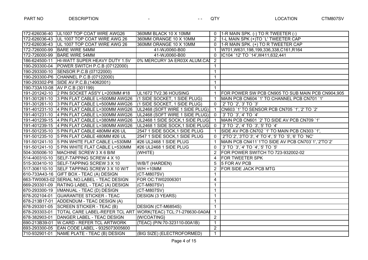|               | 172-626036-40 UL1007 TOP COAT WIRE AWG26                     | 360MM BLACK 10 X 10MM           |                | 0 1-R MAIN SPK. (-) TO R TWEETER (-)               |
|---------------|--------------------------------------------------------------|---------------------------------|----------------|----------------------------------------------------|
|               | 172-626036-43 UL 1007 TOP COAT WIRE AWG 26                   | 360MM ORANGE 10 X 10MM          | $\overline{2}$ | 1-L MAIN SPK (+)TO `L' TWEETER CAP                 |
|               | 172-626036-43   UL 1007 TOP COAT WIRE AWG 26                 | 360MM ORANGE 10 X 10MM          | $\Omega$       | $1$ -R MAIN SPK. (+) TO R TWEETER CAP              |
|               | 172-726000-99 BARE WIRE 54MM                                 | 41-WJ0060-B00                   | -1             | W701, W631, 198, 199, 336, 338, C161, R164         |
|               | 172-726000-99 BARE WIRE 54MM                                 | 41-WJ0060-B00                   | $\Omega$       | IC104 `12' TO `14', W411, 632, 441                 |
| 186-624500-11 | HI-WATT SUPER HEAVY DUTY 1.5V                                | 0% MERCURY 3A ER03X ALUM.CA     | $\overline{2}$ |                                                    |
|               | 190-293300-04   POWER SWITCH P.C.B (07122000)                |                                 | $\mathbf{1}$   |                                                    |
|               | 190-293300-10 SENSOR P.C.B (07122000)                        |                                 | $\mathbf{1}$   |                                                    |
|               | 190-293300-P6 CHANNEL P.C.B (07122000)                       |                                 | $\mathbf{1}$   |                                                    |
|               | 190-293302-P8 SIDE AV P.C.B. (14062001)                      |                                 | $\mathbf{1}$   |                                                    |
|               | 190-733A10-08 AV P.C.B (301199)                              |                                 | $\mathbf{1}$   |                                                    |
|               | 191-201242-10 2 PIN SOCKET ASS'Y L=200MM #18                 | UL1672 TV2.36 HOUSING           | $\mathbf{1}$   | FOR POWER SW PCB CN905 TO SUB MAIN PCB CN904,905   |
|               | 191-301261-10 3 PIN FLAT CABLE L=500MM AWG26                 | (1 SIDE SOCKET, 1 SIDE PLUG)    | 1              | MAIN PCB CN604 `1' TO CHANNEL PCB CN701 `1'        |
|               | 191-301261-10 3 PIN FLAT CABLE L=500MM AWG26                 | (1 SIDE SOCKET, 1 SIDE PLUG)    | $\Omega$       | '2' TO '2', '3' TO '3'                             |
|               | 191-401231-10 4 PIN FLAT CABLE L=300MM AWG26                 | UL2468 (SOFT WIRE 1 SIDE PLUG)  | $\mathbf{1}$   | CN603 `1' TO SENSOR PCB CN705 `1', `2' TO `2'      |
|               | 191-401231-10 4 PIN FLAT CABLE L=300MM AWG26                 | UL2468 (SOFT WIRE 1 SIDE PLUG)  | $\mathbf 0$    | '3' TO '3', '4' TO '4'                             |
|               | 191-401239-15 4 PIN FLAT CABLE L=380MM AWG26                 | UL2468 1 SIDE SOCK, 1 SIDE PLUG | $\overline{1}$ | MAIN PCB CN601 `2' TO SIDE AV PCB CN709 `1'        |
|               | 191-401239-15 4 PIN FLAT CABLE L=380MM AWG26                 | UL2468 1 SIDE SOCK, 1 SIDE PLUG | $\overline{0}$ | '3' TO '2', '4' TO '3', '5' TO '4'                 |
|               | 191-501235-10 5 PIN FLAT CABLE 480MM #26 UL                  | 2547 1 SIDE SOCK, 1 SIDE PLUG   | $\mathbf{1}$   | SIDE AV PCB CN702 `1' TO MAIN PCB CN303 `1',       |
|               | 191-501235-10 5 PIN FLAT CABLE 480MM #26 UL                  | 2547 1 SIDE SOCK, 1 SIDE PLUG   | $\Omega$       | `2'TO`2',`3'TO`3',`4' TO`4',`5' TO `5',`6' TO `NC' |
|               | 191-501241-10 5 PIN WHITE FLAT CABLE L=530MM                 | #26 UL2468 1 SIDE PLUG          | $\mathbf{1}$   | MAIN PCB CN411`1'TO SIDE AV PCB CN703`1',`2'TO`2'  |
|               | 191-501241-10 5 PIN WHITE FLAT CABLE L=530MM                 | #26 UL2468 1 SIDE PLUG          | $\mathbf{0}$   | '3' TO '3', '4' TO '4', '5' TO '5'                 |
|               | 504-305006-10   MACHINE SCREW 3 X 6 B/M                      | (WHITE)                         | 2              | FOR POWER SWITCH TO 723-932002-02                  |
|               | 514-400310-10 SELF-TAPPING SCREW 4 X 10                      |                                 | 4              | <b>FOR TWEETER SPK</b>                             |
|               | 515-303410-10 SELF-TAPPING SCREW 3 X 10                      | W/B/T (HARDEN)                  | 5              | 5 FOR AV PCB                                       |
|               | 517-306110-10 SELF TAPPING SCREW 3 X 10 W/T                  | $W/H = 10MM$                    | $\overline{2}$ | <b>FOR SIDE JACK PCB MTG</b>                       |
|               | 610-733A43-16 GIFT BOX - TEAC (A) DESIGN                     | (CT-M807SV)                     | $\mathbf{1}$   |                                                    |
|               | 663-TW0063-02 SERIAL NO.LABEL - TEAC DESIGN                  | FOR OC: TW02006301              | $\overline{4}$ |                                                    |
|               | 669-293301-09   RATING LABEL - TEAC (A) DESIGN               | $(CT-M807SV)$                   | $\mathbf{1}$   |                                                    |
|               | 670-293300-19  I/MANUAL - TEAC (D) DESIGN                    | (CT-M807SV)                     | $\mathbf{1}$   |                                                    |
|               | 678-202104-01 GUARANTEE STICKER - TEAC                       | <b>DESIGN (3 YEARS)</b>         | $\mathbf{1}$   |                                                    |
|               | 678-213B17-01 ADDENDUM - TEAC DESIGN (A)                     |                                 | $\mathbf{1}$   |                                                    |
|               | 678-293301-05 SCREEN STICKER - TEAC (B)                      | DESIGN (CT-M6854S)              | $\mathbf{1}$   |                                                    |
| 678-293303-01 | TOTAL CARE LABEL-REFER TCL ART WORK(TEAC) TCL:71-276630-0A0A |                                 | $\mathbf{1}$   |                                                    |
| 678-382903-01 | DANGER LABEL - TEAC DESIGN                                   | {W/COATING}                     | 2              |                                                    |
| 690-213B39-01 | W.CARD - REFER TCL ARTWORK                                   | {TEAC} (P/N:70-323110-00A1B)    | $\mathbf{1}$   |                                                    |
|               | 693-293300-05 EAN CODE LABEL - 9325073005600                 |                                 | 2              |                                                    |
|               | 710-932901-01 NAME PLATE - TEAC (B) DESIGN                   | (BIG SIZE) (ELECTROFORMED)      | $\mathbf{1}$   |                                                    |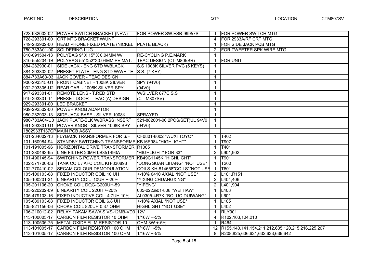|                           | 723-932002-02 POWER SWITCH BRACKET {NEW}                         | FOR POWER SW:ESB-99957S        |                | <b>FOR POWER SWITCH MTG</b>                         |
|---------------------------|------------------------------------------------------------------|--------------------------------|----------------|-----------------------------------------------------|
|                           | 728-293301-00 CRT MTG BRACKET W/UNT                              |                                | 4              | <b>FOR 2933A/RF CRT MTG</b>                         |
| 749-282902-00             | HEAD PHONE FIXED PLATE (NICKEL PLATE BLACK)                      |                                | 1.             | <b>FOR SIDE JACK PCB MTG</b>                        |
|                           | 750-733A01-00 SOLDERING LUG                                      |                                | $\overline{2}$ | <b>FOR TWEETER SPK. WIRE MTG</b>                    |
| 810-091504-13             | POLYBAG 9" X 15" X 0.04MM W/                                     | <b>RE-CYCLING P.E.MARK</b>     | $\mathbf 1$    |                                                     |
|                           | 810-555204-1B   POLYBAG 55"X52"X0.04MM PE MAT.                   | TEAC DESIGN (CT-M805SR)        | $\mathbf{1}$   | <b>FOR UNIT</b>                                     |
| 884-282930-01             | SIDE JACK - ENG STD W/BLACK                                      | S.S 1008K SILVER PVC (5 KEYS)  | $\mathbf{1}$   |                                                     |
|                           | 884-293302-02 PRESET PLATE - ENG STD W/WHITE S.S. {7 KEY}        |                                | $\mathbf{1}$   |                                                     |
|                           | 884-733A63-03 JACK COVER - TEAC DESIGN                           |                                | $\mathbf{1}$   |                                                     |
|                           | 900-293315-U1   FRONT CABINET - 1008K SILVER                     | SPY (94V0)                     | $\mathbf{1}$   |                                                     |
|                           | 902-293305-U2 REAR CAB. - 1008K SILVER SPY                       | (94V0)                         | $\mathbf{1}$   |                                                     |
|                           | 917-293301-01 REMOTE LENS - T.RED STD                            | W/SILVER 877C S.S.             | $\mathbf{1}$   |                                                     |
|                           | 919-293301-14   PRESET DOOR - TEAC (A) DESIGN                    | (CT-M807SV)                    | $\mathbf{1}$   |                                                     |
| 929-293301-00 LED BRACKET |                                                                  |                                | $\mathbf{1}$   |                                                     |
|                           | 939-292502-00 POWER KNOB ADAPTOR                                 |                                | $\mathbf{1}$   |                                                     |
|                           | 980-282903-13 SIDE JACK BASE - SILVER 1008K                      | <b>SPRAYED</b>                 | $\mathbf{1}$   |                                                     |
|                           | 980-733A04-U0 JJACK PLATE-BLK W/BRASS INSERT                     | 521-882001-00 2PCS/SET)UL 94V0 | $\mathbf{1}$   |                                                     |
|                           | 991-293301-U1 POWER KNOB - SILVER 1008K SPY                      | (94V0)                         | $\mathbf{1}$   |                                                     |
|                           | 1802933T137CPMAIN PCB ASSY                                       |                                |                |                                                     |
|                           | 001-234002-13 FLYBACK TRANSFORMER FOR S/F                        | CF0801-8002 "WUXI TOYO"        | $\mathbf{1}$   | T402                                                |
|                           | 101-160984-94 STANDBY SWITCHING TRANSFORME KB16E984 "HIGHLIGHT"  |                                | $\mathbf{1}$   | T907                                                |
|                           | 101-191005-96 HORIZONTAL DRIVE TRANSFORMER R1005                 |                                | $\mathbf{1}$   | T401                                                |
|                           | 101-280493-95 LINE FILTER 20MH LB35T493A                         | "HIGHLIGHT" FOR 33"            | $\overline{2}$ | L901,902                                            |
|                           | 101-490145-94 SWITCHING POWER TRANSFORMER KB49C1145K "HIGHLIGHT" |                                | $\mathbf{1}$   | T901                                                |
|                           | 102-371700-0B   TANK COIL / AFC COIL KH-830898                   | "DONGGUAN LIHANG" *NOT USE*    | 1              | T200                                                |
|                           | 102-770410-02 SECAM COLOUR DEMODULATION                          | COILS KH-814658"COILS""NOT USE | $\mathbf{1}$   | T601                                                |
|                           | 105-100103-08 FIXED INDUCTOR COIL 10 UH                          | +-10% 0410 AXIAL *NOT USE*     | $\overline{2}$ | L <sub>101,R151</sub>                               |
|                           | 105-100201-31 LINEARITY COIL 10UH +-20%                          | "YIXING CHUANGXING"            | $\overline{2}$ | L404,406                                            |
|                           | 105-201106-20 CHOKE COIL DQG-G200UH-59                           | "YIFENG"                       | $\overline{2}$ | L401,904                                            |
|                           | 105-220202-09   LINEARITY COIL 22UH +-20%                        | 035-022æ01-808 "WEI HAW"       | $\mathbf{1}$   | L403                                                |
| 105-479103-16             | <b>FIXED INDUCTIVE COIL 4.7UH 10%</b>                            | AL0305-4R7K "BOLUO DUIWANG"    | $\mathbf{1}$   | L601                                                |
| 105-689103-08             | <b>FIXED INDUCTOR COIL 6.8 UH</b>                                | +-10% AXIAL *NOT USE*          | $\mathbf{1}$   | L105                                                |
| 105-821156-06             | CHOKE COIL 820UH 0.37 OHM                                        | HIGHLIGHT *NOT USE*            | $\mathbf{1}$   | L402                                                |
| 106-210012-02             | RELAY TAKAMISAWA'S VS-12MB-VD3 12V                               |                                | $\mathbf 1$    | <b>RLY901</b>                                       |
| 113-100005-17             | CARBON FILM RESISTOR 10 OHM                                      | $1/16W + 5%$                   | 4              | R102,103,104,210                                    |
|                           | 113-100505-75 METAL OXIDE FILM RESISTOR 10                       | OHM 3W +-5%                    | $\mathbf{1}$   | R464                                                |
| 113-101005-17             | CARBON FILM RESISTOR 100 OHM                                     | $1/16W + 5%$                   |                | 12 R155,140,141,154,211,212,635,120,215,216,225,207 |
|                           | 113-101005-17 CARBON FILM RESISTOR 100 OHM                       | $1/16W + 5%$                   |                | 8  R208,825,636,631,632,633,639,642                 |
|                           |                                                                  |                                |                |                                                     |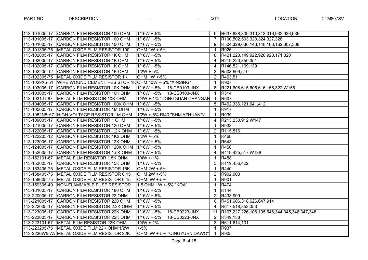|               | 113-101005-17 CARBON FILM RESISTOR 100 OHM          | $1/16W + 5%$                  | 9              | R637,638,309,310,313,316,932,936,935             |
|---------------|-----------------------------------------------------|-------------------------------|----------------|--------------------------------------------------|
| 113-101005-17 | CARBON FILM RESISTOR 100 OHM                        | $1/16W + 5%$                  | $\overline{7}$ | R100,502,503,323,324,327,328                     |
| 113-101005-17 | CARBON FILM RESISTOR 100 OHM                        | $1/16W + 5%$                  | 9              | R504,329,630,143,148,163,162,307,308             |
| 113-101305-75 | METAL OXIDE FILM RESISTOR 100                       | OHM 1W +-5%                   | $\mathbf{1}$   | R926                                             |
| 113-102005-17 | CARBON FILM RESISTOR 1K OHM                         | $1/16W + 5%$                  | 8              | R421,223,149,922,920,928,171,320                 |
| 113-102005-17 | CARBON FILM RESISTOR 1K OHM                         | $1/16W + 5%$                  | 4              | R219,220,350,351                                 |
| 113-102005-17 | CARBON FILM RESISTOR 1K OHM                         | $1/16W + 5%$                  | 4              | R146,521,109,139                                 |
| 113-102205-12 | CARBON FILM RESISTOR 1K OHM                         | $1/2W + 5%$                   | 3              | R508,509,510                                     |
| 113-102305-75 | METAL OXIDE FILM RESISTOR 1K                        | OHM 1W +-5%                   | $\overline{2}$ | R463,511                                         |
| 113-1029X5-51 | WIRE WOUND CEMENT RESISTOR 1KOHM 10W +-5% "XINSING" |                               | $\mathbf 1$    | <b>R907</b>                                      |
| 113-103005-17 | CARBON FILM RESISTOR 10K OHM                        | $1/16W + 5%$<br>18-CB0103-JNX | 8              | R221,608,615,605,616,156,322,W156                |
| 113-103005-17 | CARBON FILM RESISTOR 10K OHM                        | $1/16W + 5%$<br>18-CB0103-JNX | $\mathbf 1$    | R514                                             |
| 113-1031J1-67 | METAL FILM RESISTOR 10K OHM                         | 1/4W +-1% "DONGGUAN CHANGAN   | $\mathbf{1}$   | <b>R607</b>                                      |
| 113-104005-17 | CARBON FILM RESISTOR 100K OHM                       | $1/16W + 5%$                  | 5              | R462,336,121,641,412                             |
| 113-105005-17 | CARBON FILM RESISTOR 1M OHM                         | $1/16W + 5%$                  | $\mathbf{1}$   | <b>R917</b>                                      |
|               | 113-1052N5-A7 HIGH-VOLTAGE RESISTOR 1M OHM          | 1/2W +-5% RI40 "SHIJIAZHUANG" | $\mathbf{1}$   | <b>R939</b>                                      |
| 113-109005-17 | CARBON FILM RESISTOR 1 OHM                          | $1/16W + 5%$                  | $\overline{4}$ | R213,230,912,W147                                |
| 113-121005-17 | CARBON FILM RESISTOR 120 OHM                        | $1/16W + 5%$                  | $\mathbf{1}$   | R933                                             |
| 113-122005-17 | CARBON FILM RESISTOR 1.2K OHM                       | 1/16W +-5%                    | $\overline{2}$ | R115,516                                         |
|               | 113-122205-12 CARBON FILM RESISTOR 1K2 OHM          | $1/2W + 5%$                   | $\mathbf 1$    | R468                                             |
| 113-123005-17 | CARBON FILM RESISTOR 12K OHM                        | $1/16W + 5%$                  | $\mathbf{1}$   | R643                                             |
| 113-124005-17 | CARBON FILM RESISTOR 120K OHM                       | $1/16W + 5%$                  | $\mathbf{1}$   | R450                                             |
| 113-152005-17 | CARBON FILM RESISTOR 1.5K OHM                       | $1/16W + 5%$                  | $\overline{4}$ | R419,425,517, W136                               |
|               | 113-152101-67   METAL FILM RESISTOR 1.5K OHM        | $1/4W + 1%$                   | $\mathbf{1}$   | R458                                             |
| 113-153005-17 | CARBON FILM RESISTOR 15K OHM                        | $1/16W + 5%$                  | 3              | R119,456,422                                     |
| 113-153405-75 | METAL OXIDE FILM RESISTOR 15K                       | OHM 2W +-5%                   | $\mathbf 1$    | R440                                             |
| 113-158405-75 | METAL OXIDE FILM RESISTOR 0.15                      | OHM 2W +-5%                   | $\mathbf{2}$   | R902,903                                         |
| 113-158605-75 | METAL OXIDE FILM RESISTOR 0.15                      | OHM 5W +-5%                   | $\mathbf{1}$   | R901                                             |
| 113-159305-49 | NON-FLAMMABLE FUSE RESISTOR                         | 1.5 OHM 1W +-5% "KOA"         | 1              | R474                                             |
| 113-181005-17 | CARBON FILM RESISTOR 180 OHM                        | $1/16W + 5%$                  | $\mathbf{1}$   | <b>R144</b>                                      |
| 113-220005-17 | CARBON FILM RESISTOR 22 OHM                         | $1/16W + 5%$                  | $\overline{2}$ | R438,909                                         |
| 113-221005-17 | CARBON FILM RESISTOR 220 OHM                        | $1/16W + 5%$                  | 6              | R451,606,318,626,647,914                         |
| 113-222005-17 | CARBON FILM RESISTOR 2.2K OHM                       | $1/16W + 5%$                  | 4              | R617,518,352,353                                 |
| 113-223005-17 | CARBON FILM RESISTOR 22K OHM                        | $1/16W + 5%$<br>18-CB0223-JNX |                | 11  R107,227,226,106,105,646,344,345,346,347,348 |
| 113-223005-17 | CARBON FILM RESISTOR 22K OHM                        | $1/16W + 5%$<br>18-CB0223-JNX | $2^{\circ}$    | R349,138                                         |
| 113-223101-67 | METAL FILM RESISTOR 22K OHM                         | $1/4W + -1%$                  | 3              | R611,614,101                                     |
| 113-223205-75 | METAL OXIDE FILM 22K OHM 1/2W                       | $+ -5%$                       | $\mathbf 1$    | <b>R937</b>                                      |
|               | 113-2236W5-7A METAL OXIDE FILM RESISTOR 22K         | OHM 5W +-5% "QINGYUEN DAWO"   | $\mathbf{1}$   | R905                                             |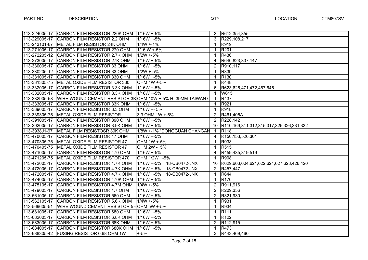|               | 113-224005-17 CARBON FILM RESISTOR 220K OHM   1/16W +-5%  |                               | 3                     | R612,354,355                                  |
|---------------|-----------------------------------------------------------|-------------------------------|-----------------------|-----------------------------------------------|
| 113-229005-17 | <b>CARBON FILM RESISTOR 2.2 OHM</b>                       | $1/16W + 5%$                  | $\mathbf{3}$          | R229,108,217                                  |
|               | 113-243101-67 METAL FILM RESISTOR 24K OHM                 | $1/4W + 1%$                   | 1                     | R919                                          |
| 113-271005-17 | CARBON FILM RESISTOR 270 OHM                              | $1/16 W + 5%$                 | 1                     | <b>R201</b>                                   |
| 113-272205-12 | CARBON FILM RESISTOR 2.7K OHM                             | $1/2W + 5%$                   |                       | R436                                          |
| 113-273005-17 | CARBON FILM RESISTOR 27K OHM                              | $1/16W + 5%$                  | 4                     | R640,823,337,147                              |
| 113-330005-17 | CARBON FILM RESISTOR 33 OHM                               | $1/16W + 5%$                  | $\overline{2}$        | R910,117                                      |
| 113-330205-12 | CARBON FILM RESISTOR 33 OHM                               | $1/2W + 5%$                   | 1                     | R339                                          |
| 113-331005-17 | CARBON FILM RESISTOR 330 OHM                              | $1/16W + 5%$                  | 1                     | R <sub>130</sub>                              |
| 113-331305-75 | METAL OXIDE FILM RESISTOR 330                             | OHM 1W +-5%                   | 1                     | R448                                          |
| 113-332005-17 | CARBON FILM RESISTOR 3.3K OHM                             | $1/16W + 5%$                  | 6                     | R623,625,471,472,467,645                      |
| 113-332005-17 | CARBON FILM RESISTOR 3.3K OHM                             | $1/16W + 5%$                  | 1                     | W615                                          |
| 113-332905-58 | WIRE WOUND CEMENT RESISTOR 3KOHM 10W +-5% H=39MM TAIWAN C |                               | 1                     | R437                                          |
| 113-333005-17 | CARBON FILM RESISTOR 33K OHM                              | $1/16W + 5%$                  | $\mathbf{1}$          | R921                                          |
| 113-339005-17 | CARBON FILM RESISTOR 3.3 OHM                              | $1/16W + 5%$                  | $\mathbf 1$           | <b>R918</b>                                   |
| 113-339305-75 | METAL OXIDE FILM RESISTOR                                 | 3.3 OHM 1W +-5%               | $2^{\circ}$           | R461,405A                                     |
| 113-391005-17 | CARBON FILM RESISTOR 390 OHM                              | $1/16W + 5%$                  | $\overline{2}$        | R228,142                                      |
| 113-392005-17 | CARBON FILM RESISTOR 3.9K OHM                             | $1/16W + 5%$                  |                       | 10  R110,169,311,312,315,317,325,326,331,332  |
| 113-3938J1-67 | METAL FILM RESISTOSR 39K OHM                              | 1/8W +-1% "DONGGUAN CHANGAN   | 1.                    | R <sub>118</sub>                              |
| 113-470005-17 | CARBON FILM RESISTOR 47 OHM                               | $1/16W + 5%$                  | $\overline{4}$        | R150,153,520,301                              |
| 113-470305-75 | METAL OXIDE FILM RESISTOR 47                              | OHM 1W +-5%                   | $\mathbf{1}$          | R938                                          |
| 113-470405-75 | METAL OXIDE FILM RESISTOR 47                              | OHM 2W -+5%                   | 1                     | R515                                          |
| 113-471005-17 | CARBON FILM RESISTOR 470 OHM                              | 1/16W +-5%                    | 4                     | R459,435,319,519                              |
| 113-471205-75 | METAL OXIDE FILM RESISTOR 470                             | OHM 1/2W +-5%                 | $\mathbf{1}$          | R908                                          |
| 113-472005-17 | CARBON FILM RESISTOR 4.7K OHM                             | $1/16W + 5%$<br>18-CB0472-JNX |                       | 10   R629,603,604,621,622,624,627,628,426,420 |
| 113-472005-17 | CARBON FILM RESISTOR 4.7K OHM                             | $1/16W + 5%$<br>18-CB0472-JNX | $\mathbf{2}^{\circ}$  | R457,447                                      |
| 113-472005-17 | CARBON FILM RESISTOR 4.7K OHM                             | $1/16W + 5%$<br>18-CB0472-JNX | $\mathbf 1$           | R644                                          |
| 113-474005-17 | CARBON FILM RESISTOR 470K OHM                             | $1/16W + 5%$                  | $\mathbf{1}$          | R <sub>170</sub>                              |
| 113-475105-17 | CARBON FILM RESISTOR 4.7M OHM                             | $1/4W + 5%$                   | $\overline{2}$        | R911,916                                      |
| 113-479005-17 | CARBON FILM RESISTOR 4.7 OHM                              | $1/16W + 5%$                  | $2^{\circ}$           | R209,356                                      |
| 113-561005-17 | CARBON FILM RESISTOR 560 OHM                              | $1/16W + 5%$                  | $\overline{2}$        | R321,930                                      |
| 113-562105-17 | CARBON FILM RESISTOR 5.6K OHM                             | $1/4W + 5%$                   | $\mathbf{1}$          | R931                                          |
| 113-569605-51 | WIRE WOUND CEMENT RESISTOR 5.6 OHM 5W +-5%                |                               | 1                     | <b>R934</b>                                   |
| 113-681005-17 | CARBON FILM RESISTOR 680 OHM                              | $1/16W + 5%$                  | 1                     | <b>R111</b>                                   |
| 113-682005-17 | CARBON FILM RESISTOR 6.8K OHM                             | $1/16W + 5%$                  | 1                     | R <sub>122</sub>                              |
| 113-683005-17 | CARBON FILM RESISTOR 68K OHM                              | $1/16W + 5%$                  | $\mathbf{2}^{\prime}$ | R112,915                                      |
| 113-684005-17 | CARBON FILM RESISTOR 680K OHM                             | 1/16W +-5%                    | 1                     | R473                                          |
|               | 113-688305-42 FUSING RESISTOR 0.68 OHM 1W                 | $+ -5%$                       | 3                     | R443,469,460                                  |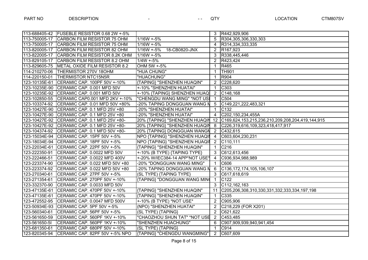|               | 113-688405-42 FUSEBLE RESISTOR 0.68 2W +-5%  |                                | $\mathbf{3}$         | R442,929,906                                        |
|---------------|----------------------------------------------|--------------------------------|----------------------|-----------------------------------------------------|
| 113-750005-17 | <b>CARBON FILM RESISTOR 75 OHM</b>           | $1/16W + 5%$                   | 5                    | R304,305,306,330,303                                |
| 113-750005-17 | CARBON FILM RESISTOR 75 OHM                  | $1/16W + 5%$                   | 4                    | R314,334,333,335                                    |
| 113-820005-17 | <b>CARBON FILM RESISTOR 82 OHM</b>           | $1/16W + 5%$<br>18-CB0820-JNX  | $\mathbf{2}^{\circ}$ | R <sub>167,923</sub>                                |
| 113-822005-17 | CARBON FILM RESISTOR 8.2K OHM                | $1/16W + 5%$                   | 3                    | R338,445,446                                        |
| 113-829105-17 | CARBON FILM RESISTOR 8.2 OHM                 | $1/4W + 5%$                    | $\mathbf{2}^{\circ}$ | R423,424                                            |
| 113-829605-75 | METAL OXIDE FILM RESISTOR 8.2                | OHM 5W +-5%                    | $\mathbf 1$          | R465                                                |
| 114-210270-06 | <b>THERMISTOR 270V 18OHM</b>                 | "HUA CHUNG"                    | 1                    | <b>TH901</b>                                        |
| 114-220150-01 | <b>THERMISTOR NTC15N5R</b>                   | "HUACHUNG"                     | 1                    | R904                                                |
| 123-10135E-61 | CERAMIC CAP. 100PF 50V +-10%                 | {TAPING} "SHENZHEN HUAQIN"     | 2                    | C228,620                                            |
|               | 123-10235E-90 CERAMIC CAP. 0.001 MFD 50V     | +-10% "SHENZHEN HUATAI"        | $\mathbf 1$          | C303                                                |
|               | 123-10235E-92 CERAMIC CAP. 0.001 MFD 50V     | +-10% {TAPING} SHENZHEN HUAQ   | $\overline{2}$       | C148,168                                            |
|               | 123-102850-55 CERAMIC CAP0.001 MFD 2KV +-10% | "CHENGDU WANG MING" *NOT USI   | -1                   | C504                                                |
|               | 123-103374-92 CERAMIC CAP. 0.01 MFD 50V +80% | -20% TAPING DONGGUAN WANG N    | 5                    | C149,221,222,483,321                                |
|               | 123-10427E-90 CERAMIC CAP. 0.1 MFD 25V +80   | -20% "SHENZHEN HUATAI"         | $\mathbf{1}$         | C <sub>132</sub>                                    |
|               | 123-10427E-90 CERAMIC CAP. 0.1 MFD 25V +80   | -20% "SHENZHEN HUATAI"         | $\overline{4}$       | C202,150,234,455A                                   |
|               | 123-10427E-92 CERAMIC CAP. 0.1 MFD 25V +80-  | 20% {TAPING} "SHENZHEN HUAQIN  |                      | 12 C169,624,153,215,236,210,209,208,204,419,144,915 |
|               | 123-10427E-92 CERAMIC CAP. 0.1 MFD 25V +80-  | 20% {TAPING} "SHENZHEN HUAQIN  | 8                    | C226,319,616,109,323,418,417,917                    |
|               | 123-104374-92 CERAMIC CAP. 0.1 MFD 50V +80-  | 20% {TAPING} DONGGUAN WANGN    | $\overline{2}$       | C432,615                                            |
|               | 123-15034E-94 CERAMIC CAP. 15PF 50V +-5%     | NPO {TAPING} "SHENZHEN HUAQII  | $\overline{4}$       | C603,604,230,231                                    |
|               | 123-18034E-94 CERAMIC CAP. 18PF 50V +-5%     | NPO {TAPING} "SHENZHEN HUAQII  | $\overline{2}$       | C110,111                                            |
|               | 123-22034E-61 CERAMIC CAP. 22PF 50V +-5%     | {TAPING} "SHENZHEN HUAQIN"     | $\mathbf{1}$         | C <sub>216</sub>                                    |
| 123-222350-91 | CERAMIC CAP. 0.0022 MFD 50V                  | +-10% (B TYPE) {TAPING TYPE}   | 3                    | C612,613,456                                        |
| 123-222466-51 | CERAMIC CAP. 0.0022 MFD 400V                 | +-20% W/IEC384-14 APP*NOT USE* | 4                    | C936,934,988,989                                    |
| 123-223374-90 | CERAMIC CAP. 0.022 MFD 50V +80               | -20% "DONGGUAN WANG MING"      | $\mathbf{1}$         | C606                                                |
| 123-223374-92 | CERAMIC CAP. 0.022 MFD 50V +80               | -20% TAPING DONGGUAN WANG N    | $6\phantom{1}$       | C136, 172, 174, 105, 106, 107                       |
|               | 123-270340-61 CERAMIC CAP. 27PF 50V +-5%     | (SL TYPE) {TAPING TYPE}        | 3                    | C617,618,619                                        |
|               | 123-271354-61 CERAMIC CAP. 270PF 50V +-10%   | {TAPING} "DONGGUAN WANG MIN    | $\mathbf 1$          | C122                                                |
| 123-332370-90 | CERAMIC CAP. 0.0033 MFD 50V                  |                                | 3                    | C112, 162, 163                                      |
| 123-47135E-61 | CERAMIC CAP. 470PF 50V +-10%                 | {TAPING} "SHENZHEN HUAQIN"     | 11                   | C205,206,308,310,330,331,332,333,334,197,198        |
| 123-47135E-61 | CERAMIC CAP. 470PF 50V +-10%                 | {TAPING} "SHENZHEN HUAQIN"     | 1                    | C <sub>335</sub>                                    |
| 123-472552-95 | CERAMIC CAP. 0.0047 MFD 500V                 | +-10% (B TYPE) *NOT USE*       | $\overline{2}$       | C905,906                                            |
| 123-50934E-93 | CERAMIC CAP. 5PF 50V +-5%                    | (NPO) "SHENZHEN HUATAI"        | $\overline{2}$       | C218,229 (FOR X201)                                 |
| 123-560340-61 | CERAMIC CAP. 56PF 50V +-5%                   | (SL TYPE) {TAPING}             | $\overline{2}$       | C621,622                                            |
| 123-561650-59 | CERAMIC CAP. 560PF 1KV +-10%                 | "CHAOZHOU SHUN TAT" *NOT USE   | $\overline{2}$       | C453,485                                            |
| 123-561650-51 | CERAMIC CAP. 560PF 1KV +-10%                 | "SHENZHEN HUACHUNG"            | 6                    | C907,909,939,940,941,454                            |
| 123-681350-61 | CERAMIC CAP. 680PF 50V +-10%                 | (SL TYPE) {TAPING}             | 1                    | C914                                                |
| 123-820345-94 | CERAMIC CAP. 82PF 50V +-5% NPO               | {TAPING} "CHENGDU WANGMING"    | $\overline{2}$       | C607,609                                            |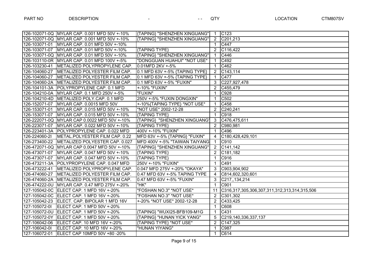|               | 126-102071-0Q MYLAR CAP. 0.001 MFD 50V +-10%   | <b>KTAPING SHENZHEN XINGUANG"</b> |                | $1 \quad C123$                                  |
|---------------|------------------------------------------------|-----------------------------------|----------------|-------------------------------------------------|
|               | 126-102071-0Q MYLAR CAP. 0.001 MFD 50V +-10%   | {TAPING} "SHENZHEN XINGUANG"      |                | 2 C201,213                                      |
|               | 126-103071-01 MYLAR CAP. 0.01 MFD 50V +-10%    |                                   | $\mathbf{1}$   | C447                                            |
|               | 126-103071-07 MYLAR CAP. 0.01 MFD 50V +-10%    | {TAPING TYPE}                     |                | 2 C116,422                                      |
|               | 126-103071-0Q MYLAR CAP. 0.01 MFD 50V +-10%    | {TAPING} "SHENZHEN XINGUANG"      | $\mathbf{1}$   | C446                                            |
|               | 126-103110-0R MYLAR CAP. 0.01 MFD 100V +-5%    | "DONGGUAN HUAHUI" *NOT USE*       | $\mathbf{1}$   | C492                                            |
|               | 126-103230-41   METALIZED POLYPROPYLENE CAP.   | 0.01MFD 2KV +-5%                  | $\mathbf{1}$   | C462                                            |
|               | 126-104060-27 METALIZED POLYESTER FILM CAP.    | 0.1 MFD 63V +-5% {TAPING TYPE}    |                | $\overline{2}$ C143,114                         |
|               | 126-104060-27 METALIZED POLYESTER FILM CAP.    | 0.1 MFD 63V +-5% {TAPING TYPE}    | $\mathbf{1}$   | C477                                            |
|               | 126-104060-2A METALIZED POLYESTER FILM CAP.    | 0.1 MFD 63V +-5% "FUXIN"          |                | 3 C227,927,478                                  |
|               | 126-104101-3A POLYPROPYLENE CAP. 0.1 MFD       | +-10% "FUXIN"                     | $\overline{2}$ | C455,479                                        |
|               | 126-104210-0A MYLAR CAP. 0.1 MFD 250V +-5%     | "FUXIN"                           | $\mathbf{1}$   | C928                                            |
|               | 126-104210-4D   METALIZED POLY.CAP. 0.1 MFD    | 250V +-5% "FUXIN DONGXIN"         | $\mathbf{1}$   | C502                                            |
|               | 126-152071-07 MYLAR CAP. 0.0015 MFD 50V        | +-10%{TAPING TYPE} *NOT USE*      | $\mathbf{1}$   | C458                                            |
|               | 126-153071-01 MYLAR CAP. 0.015 MFD 50V +-10%   | *NOT USE* 2002-12-28              | 2              | C240,241                                        |
|               | 126-153071-07 MYLAR CAP. 0.015 MFD 50V +-10%   | {TAPING TYPE}                     | $\mathbf{1}$   | C918                                            |
|               | 126-222071-0Q MYLAR CAP 0.0022 MFD 50V +-10%   | {TAPING} "SHENZHEN XINGUANG"      |                | 3 C476,475,611                                  |
|               | 126-223071-07 MYLAR CAP. 0.022 MFD 50V +-10%   | {TAPING TYPE}                     | $\overline{2}$ | C980,981                                        |
|               | 126-223401-3A POLYPROPYLENE CAP. 0.022 MFD     | 400V +-10% "FUXIN"                | $\mathbf{1}$   | C496                                            |
| 126-224060-21 | METAL.POLYESTER FILM CAP. 0.22                 | MFD 63V +-5% {TAPING} "FUXIN"     | $\overline{4}$ | C180,428,429,101                                |
|               | 126-273400-22   METALIZED POLYESTER CAP. 0.027 | MFD 400V +-5% "TAIWAN TAIYANG     | $\overline{1}$ | C910                                            |
|               | 126-472071-0Q MYLAR CAP 0.0047 MFD 50V +-10%   | {TAPING} "SHENZHEN XINGUANG"      |                | 2 C141,142                                      |
|               | 126-473071-07   MYLAR CAP. 0.047 MFD 50V +-10% | {TAPING TYPE}                     |                | 2 C181,182                                      |
|               | 126-473071-07 MYLAR CAP. 0.047 MFD 50V +-10%   | {TAPING TYPE}                     | $\mathbf{1}$   | C916                                            |
|               | 126-473211-3A POLYPROPYLENE CAP. 0.047 MFD     | 250V +-10% "FUXIN"                | $\mathbf{1}$   | C491                                            |
|               | 126-473222-41   METALIZED POLYPROPYLENE CAP.   | 0.047 MFD 275V +-20% "OKAYA"      | $\mathbf{3}$   | C903,904,902                                    |
|               | 126-474060-27 METALIZED POLYESTER FILM CAP.    | 0.47 MFD 63V +-5% TAPING TYPE     | $\overline{4}$ | C814,602,320,601                                |
|               | 126-474060-2A METALIZED POLYESTER FILM CAP.    | 0.47 MFD 63V +-5% "FUXIN"         |                | 3 C217, 134, 214                                |
|               | 126-474222-0U MYLAR CAP. 0.47 MFD 275V +-20%   | "HK"                              | $\overline{1}$ | C901                                            |
|               | 127-105042-0C ELECT CAP. 1 MFD 16V +-20%       | "FOSHAN NO.3" *NOT USE*           |                | 11 C316,317,305,306,307,311,312,313,314,315,506 |
|               | 127-105042-0C ELECT CAP. 1 MFD 16V +-20%       | "FOSHAN NO.3" *NOT USE*           | 2              | C301,302                                        |
|               | 127-105042-23 ELECT. CAP. BIPOLAR 1 MFD 16V    | +-20% *NOT USE* 2002-12-28        | $\overline{2}$ | C433,425                                        |
|               | 127-105072-0I ELECT CAP. 1 MFD 50V +-20%       |                                   | $\mathbf{1}$   | C608                                            |
|               | 127-105072-0U ELECT CAP. 1 MFD 50V +-20%       | {TAPING} "WUXI25-BFB109-M1G       | $\mathbf{1}$   | C431                                            |
|               | 127-105072-0Y ELECT CAP. 1 MFD 50V +-20%       | {TAPING} "HUNAN YICK YANG"        | 5              | C219,140,336,337,137                            |
|               | 127-106042-06 ELECT CAP. 10 MFD 16V +-20%      | {TAPING TYPE} *NOT USE*           | $\overline{2}$ | C147,325                                        |
| 127-106042-01 | ELECT CAP. 10 MFD 16V +-20%                    | "HUNAN YIYANG"                    | $\mathbf{1}$   | C987                                            |
|               |                                                |                                   | $\overline{1}$ | C614                                            |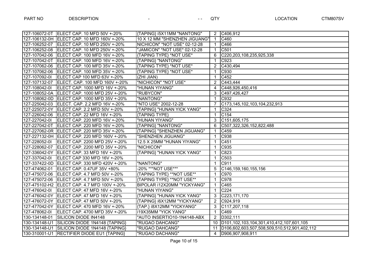|               | 127-106072-0T ELECT CAP. 10 MFD 50V +-20%      | {TAPING} (5X11MM "NANTONG"    |                | $\overline{2}$ C406,912                                |
|---------------|------------------------------------------------|-------------------------------|----------------|--------------------------------------------------------|
|               | 127-106132-0H ELECT CAP. 10 MFD 160V +-20%     | 10 X 12 MM "SHENZHEN JIGUANG" | $\mathbf{1}$   | C460                                                   |
|               | 127-106252-07 ELECT CAP. 10 MFD 250V +-20%     | NICHICON" *NOT USE* 02-12-28  | $\mathbf{1}$   | C466                                                   |
|               | 127-106252-08 ELECT CAP. 10 MFD 250V +-20%     | "JAMICON" *NOT USE* 02-12-28  | $\mathbf{1}$   | C501                                                   |
|               | 127-107042-06 ELECT CAP. 100 MFD 16V +-20%     | {TAPING TYPE} *NOT USE*       | 6              | C220, 203, 108, 235, 925, 338                          |
|               | 127-107042-0T ELECT CAP. 100 MFD 16V +-20%     | {TAPING} "NANTONG"            | 1              | C923                                                   |
|               | 127-107062-06 ELECT CAP. 100 MFD 35V +-20%     | {TAPING TYPE} *NOT USE*       | $\overline{2}$ | C430,494                                               |
|               | 127-107062-06   ELECT CAP. 100 MFD 35V +-20%   | {TAPING TYPE} *NOT USE*       | $\mathbf 1$    | C930                                                   |
| 127-107092-01 | ELECT CAP 100 MFD 63V +-20%                    | (ZHI JIAN)                    | $\mathbf 1$    | C452                                                   |
|               | 127-107132-07   ELECT. CAP. 100 MFD 160V +-20% | "NICHICON" *NOT USE*          | $\overline{2}$ | C443,444                                               |
| 127-108042-01 | ELECT CAP. 1000 MFD 16V +-20%                  | "HUNAN YIYANG"                | $\overline{4}$ | C448,926,450,416                                       |
|               | 127-108052-0A ELECT CAP. 1000 MFD 25V +-20%    | "RUBYCON"                     | 3              | C497,426,427                                           |
|               | 127-108062-0D ELECT CAP. 1000 MFD 35V +-20%    | "NANTONG"                     | $\mathbf 1$    | C932                                                   |
|               | 127-225042-03   ELECT. CAP. 2.2 MFD 16V +-20%  | *NTO USE* 2002-12-28          | $\overline{7}$ | C173, 145, 102, 103, 104, 232, 913                     |
|               | 127-225072-0Y   ELECT CAP. 2.2 MFD 50V +-20%   | {TAPING} "HUNAN YICK YANG"    | 1              | C324                                                   |
|               | 127-226042-06 ELECT CAP. 22 MFD 16V +-20%      | {TAPING TYPE}                 | 1              | C154                                                   |
| 127-227042-01 | ELECT CAP. 220 MFD 16V +-20%                   | "HUNAN YIYANG"                | $\mathbf{3}$   | $\overline{C}$ 151,605,175                             |
|               | 127-227042-0T ELECT CAP. 220 MFD 16V +-20%     | {TAPING} "NANTONG"            | 6              | C507,322,326,152,822,488                               |
|               | 127-227062-0R   ELECT CAP. 220 MFD 35V +-20%   | {TAPING} "SHENZHEN JIGUANG"   | $\mathbf{1}$   | C459                                                   |
|               | 127-227132-0H ELECT CAP. 220 MFD 160V +-20%    | "SHENZHEN JIGUANG"            | $\mathbf{1}$   | C938                                                   |
| 127-228052-01 | ELECT CAP. 2200 MFD 25V +-20%                  | 12.5 X 25MM "HUNAN YIYANG"    | $\mathbf 1$    | C451                                                   |
|               | 127-228062-07 ELECT CAP. 2200 MFD 35V +-20%    | "NICHICON"                    | $\mathbf 1$    | C935                                                   |
|               | 127-336042-0Y ELECT CAP. 33 MFD 16V +-20%      | {TAPING} "HUNAN YICK YANG"    | $\mathbf 1$    | C823                                                   |
| 127-337042-01 | ELECT CAP 330 MFD 16V +-20%                    |                               | $\mathbf 1$    | C503                                                   |
|               | 127-337422-0D ELECT CAP. 330 MFD 420V +-20%    | "NANTONG"                     | $\mathbf 1$    | C911                                                   |
|               | 127-474062-01 ELECT CAP. 0.47UF 35V +80%       | -20% ***NOT USE***            | 5              | C146, 159, 160, 155, 156                               |
|               | 127-475072-06 ELECT CAP. 4.7 MFD 50V +-20%     | {TAPING TYPE} **NOT USE**     | $\mathbf 1$    | C970                                                   |
|               | 127-475072-06 ELECT CAP. 4.7 MFD 50V +-20%     | {TAPING TYPE} **NOT USE**     | $\mathbf 1$    | C978                                                   |
|               | 127-475102-H2 ELECT CAP. 4.7 MFD 100V +-20%    | BIPOLAR í12X20MM "YICKYANG"   | $\mathbf 1$    | C465                                                   |
|               | 127-476042-0  ELECT CAP. 47 MFD 16V +-20%      | "HUNAN YIYANG"                | $\mathbf 1$    | C224                                                   |
|               | 127-476042-0Y   ELECT CAP. 47 MFD 16V +-20%    | {TAPING} "HUNAN YICK YANG"    | 3              | C223,171,170                                           |
|               | 127-476072-0Y   ELECT CAP. 47 MFD 50V +-20%    | {TAPING} (6X12MM "YICKYANG"   | 2              | C924,919                                               |
|               | 127-477042-0Y   ELECT CAP. 470 MFD 16V +-20%   | {TAP.} í8X12MM "YICKYANG"     | 3              | C117,207,118                                           |
| 127-478062-01 | ELECT CAP. 4700 MFD 35V +-20%                  | <b>f19X35MM "YICK YANG"</b>   | $\mathbf{1}$   | C469                                                   |
| 130-134148-01 | SILICON DIODE IN4148                           | "AUTO INSERTIO10-1N4148-ABX   | 2              | D302,111                                               |
| 130-134148-U1 | SILICON DIODE 1N4148 {TAPING}                  | "RUGAO DAHCANG"               |                | 10   D101, 102, 103, 104, 301, 410, 412, 107, 601, 105 |
|               | 130-134148-U1 SILICON DIODE 1N4148 {TAPING}    | "RUGAO DAHCANG"               |                | 11  D106,602,603,507,508,509,510,512,901,402,112       |
|               | 130-310001-U1 RECTIFIER DIODE EU1 {TAPING}     | "RUGAO DACHANG"               |                | 4  D906,907,908,911                                    |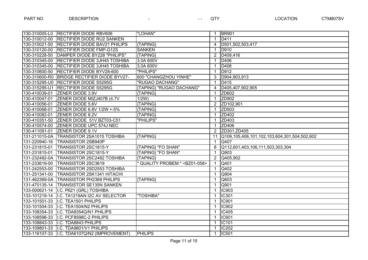| 130-310005-L0 | <b>RECTIFIER DIODE RBV606</b>               | "LOHAN"                                |                | <b>BR901</b>                                 |
|---------------|---------------------------------------------|----------------------------------------|----------------|----------------------------------------------|
| 130-310012-00 | <b>RECTIFIER DIODE RU2 SANKEN</b>           |                                        |                | D <sub>411</sub>                             |
| 130-310021-50 | <b>RECTIFIER DIODE BAV21 PHILIPS</b>        | {TAPING}                               | 4              | D501,502,503,417                             |
| 130-310120-00 | <b>RECTIFIER DIODE FMP-G12S</b>             | <b>SANKEN</b>                          |                | <b>D910</b>                                  |
| 130-310228-50 | DAMPER DIODE BY228 "PHILIPS"                | {TAPING}                               | $\overline{2}$ | D409,416                                     |
| 130-310345-00 | <b>RECTIFIER DIODE 3JH45 TOSHIBA</b>        | 3.0A 600V                              | 1              | D406                                         |
| 130-310345-00 | <b>RECTIFIER DIODE 3JH45 TOSHIBA</b>        | 3.0A 600V                              | 1              | D408                                         |
| 130-310600-50 | <b>RECTIFIER DIODE BYV28-600</b>            | "PHILIPS"                              | 1              | D912                                         |
|               | 130-310600-R0 BRIDGE RECTIFIER DIODE BYV27- | 600 "CHANGZHOU YINHE"                  | 3              | D904,903,913                                 |
|               | 130-315295-U0 RECTIFIER DIODE S5295G        | "RUGAO DACHANG"                        | 1              | D415                                         |
|               | 130-315295-U1 RECTIFIER DIODE S5295G        | {TAPING} "RUGAO DACHANG"               | 4              | D405,407,902,905                             |
| 130-410039-01 | <b>ZENER DIODE 3.9V</b>                     | {TAPING}                               | 1              | ZD602                                        |
| 130-410047-01 | ZENER DIODE MIZJ407B (4.7V                  | 1/2W                                   | 1              | ZD902                                        |
| 130-410056-01 | <b>ZENER DIODE 5.6V</b>                     | {TAPING}                               | $\overline{2}$ | ZD102,901                                    |
| 130-410068-01 | ZENER DIODE 6.8V 1/2W +-5%                  | {TAPING}                               | $\mathbf 1$    | ZD503                                        |
| 130-410082-01 | <b>ZENER DIODE 8.2V</b>                     | {TAPING}                               | $\mathbf 1$    | ZD402                                        |
| 130-410351-50 | ZENER DIODE 51V BZT03-C51                   | "PHILIPS"                              | $\mathbf 1$    | ZD403                                        |
| 130-410574-00 | <b>ZENER DIODE UPC 574J NEC</b>             |                                        | 1              | ZD406                                        |
| 130-411091-01 | <b>ZENER DIODE 9.1V</b>                     |                                        | $\overline{2}$ | ZD301, ZD405                                 |
| 131-211015-0A | <b>TRANSISTOR 2SA1015 TOSHIBA</b>           | {TAPING}                               | 11             | Q109,105,406,101,102,103,604,301,504,502,602 |
| 131-220940-16 | <b>TRANSISTOR 2SB940P</b>                   |                                        | $\mathbf{1}$   | Q407                                         |
| 131-231815-01 | <b>TRANSISTOR 2SC1815-Y</b>                 | {TAPING} "FO SHAN"                     | 8              | Q112,601,403,106,111,503,303,304             |
| 131-231815-01 | TRANSISTOR 2SC1815-Y                        | <b>{TAPING} "FO SHAN"</b>              | $\mathbf{1}$   | Q903                                         |
| 131-232482-0A | <b>TRANSISTOR 2SC2482 TOSHIBA</b>           | {TAPING}                               | $\overline{2}$ | Q405,902                                     |
| 131-233619-00 | <b>TRANSISTOR 2SC3619</b>                   | QUALITY PROBEM * <bz01-058></bz01-058> |                | Q401                                         |
| 131-242553-00 | <b>TRANSISTOR 2SD2553 TOSHIBA</b>           |                                        | $\mathbf{1}$   | Q402                                         |
| 131-251341-00 | <b>TRANSISTOR 2SK1341 HITACHI</b>           |                                        |                | Q904                                         |
|               | 131-462369-0A TRANSISTOR PH2369 PHILIPS     | {TAPING}                               |                | Q603                                         |
| 131-470135-14 | <b>TRANSISTOR SE135N SANKEN</b>             |                                        | 1              | Q901                                         |
| 133-000621-14 | I.C. P621 (GRL) TOSHIBA                     |                                        | 1              | IC903                                        |
| 133-101219-14 | I.C. TA1219AN I2C AV SELECTOR               | "TOSHIBA"                              |                | <b>IC301</b>                                 |
| 133-101501-33 | I.C. TEA1501 PHILIPS                        |                                        | 1              | <b>IC901</b>                                 |
| 133-101504-33 | I.C. TEA1504/N2 PHILIPS                     |                                        | 1              | <b>IC902</b>                                 |
| 133-108354-33 | I.C. TDA8354Q/N1 PHILIPS                    |                                        | 1              | IC405                                        |
| 133-108598-33 | I.C. PCF8598C-2 PHILIPS                     |                                        | 1              | <b>IC601</b>                                 |
| 133-108843-33 | I.C. TDA8843 PHILIPS                        |                                        | 1              | IC101                                        |
| 133-109801-33 | I.C. TDA9801/V1 PHILIPS                     |                                        |                | <b>IC202</b>                                 |
| 133-116107-33 | I.C. TDA6107Q/N2 (IMPROVEMENT)              | <b>IPHILIPS</b>                        | $\mathbf{1}$   | IC501                                        |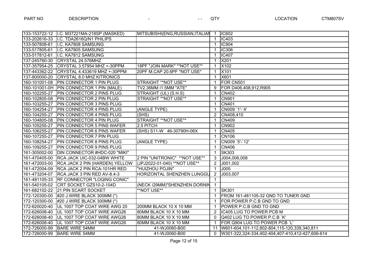|               | 133-153722-12   I.C. M37221MA-218SP (MASKED) | MITSUBISHI(ENG, RUSSIAN, ITALIAN  | -1             | <b>IC602</b>                                     |
|---------------|----------------------------------------------|-----------------------------------|----------------|--------------------------------------------------|
| 133-202616-33 | I.C. TDA2616Q/N1 PHILIPS                     |                                   | $\mathbf 1$    | <b>IC403</b>                                     |
| 133-507808-61 | I.C. KA7808 SAMSUNG                          |                                   | 1              | <b>IC904</b>                                     |
| 133-517805-61 | I.C. KA7805 SAMSUNG                          |                                   |                | <b>IC306</b>                                     |
| 133-517812-61 | I.C. KA7812 SAMSUNG                          |                                   | 1              | IC407                                            |
| 137-245760-30 | CRYSTAL 24.576MHZ                            |                                   |                | X201                                             |
| 137-357954-25 | CRYSTAL 3.57954 MHZ +-30PPM                  | 18PF "JOIN MARK" ** NOT USE**     |                | X102                                             |
| 137-443362-22 | CRYSTAL 4.433619 MHZ +-30PPM                 | 20PF M.CAP 20.6PF *NOT USE*       | -1             | X101                                             |
| 137-800000-20 | <b>CRYSTAL 8.0 MHZ KITRONICS</b>             |                                   | 1              | X601                                             |
|               | 160-101001-08 PIN CONNECTOR 1 PIN PLUG       | STRAIGHT **NOT USE**              |                | FOR CN501                                        |
|               | 160-101001-0H   PIN CONNECTOR 1 PIN (MALE)   | TV2.36MM í1.5MM "ATE"             | 9              | FOR D406,408,912,R905                            |
| 160-102255-27 | <b>PIN CONNECTOR 2 PINS PLUG</b>             | STRAIGHT (UL) (S.H.S)             |                | <b>CN402</b>                                     |
| 160-102805-08 | <b>PIN CONNECTOR 2 PIN PLUG</b>              | STRAIGHT ** NOT USE**             |                | <b>CN901</b>                                     |
| 160-103255-27 | <b>PIN CONNECTOR 3 PINS PLUG</b>             |                                   |                | <b>CN401</b>                                     |
| 160-104254-27 | <b>PIN CONNECTOR 4 PINS PLUG</b>             | (ANGLE TYPE)                      |                | CN009 `1'-`4'                                    |
| 160-104255-27 | <b>PIN CONNECTOR 4 PINS PLUG</b>             | (SHS)                             | $\overline{2}$ | CN408,410                                        |
| 160-104805-08 | <b>PIN CONNECTOR 4 PIN PLUG</b>              | STRAIGHT ** NOT USE**             |                | <b>CN409</b>                                     |
| 160-105255-27 | <b>PIN CONNECTOR 5 PINS WAFER</b>            | 2.5 PITCH                         |                | <b>CN902</b>                                     |
| 160-106255-27 | <b>PIN CONNECTOR 6 PINS WAFER</b>            | (SHS) S11-W 46-30790H-06X         |                | <b>CN405</b>                                     |
| 160-107255-27 | <b>PIN CONNECTOR 7 PIN PLUG</b>              |                                   |                | <b>CN106</b>                                     |
| 160-108254-27 | <b>PIN CONNECTOR 8 PINS PLUG</b>             | (ANGLE TYPE)                      |                | CN009 `5'-`12'                                   |
| 160-109255-27 | <b>PIN CONNECTOR 9 PINS PLUG</b>             |                                   | $\mathbf 1$    | <b>CN406</b>                                     |
| 161-305002-00 | DIN CONNECTOR #HDC-020 "MIKI"                |                                   | $\mathbf{1}$   | <b>SK303</b>                                     |
| 161-470405-00 | RCA JACK UIC-032-04BW WHITE                  | 2 PIN "UNITRONIC" **NOT USE**     | 3              | J004,006,008                                     |
| 161-472003-00 | RCA JACK 2 PIN (HARDEN) YELLOW               | (JPJ2022-01-040) **NOT USE**      | $\overline{2}$ | J001,002                                         |
|               | 161-472004-09   RCA JACK 2 PIN RCA-101HR RED | "HUIZHOU POJIN"                   | 1              | J005                                             |
| 161-473204-07 | RCA JACK 3 PIN RED AV-8.4-3                  | <b>HORIZONTAL SHENZHEN LUNGGU</b> | $\overline{2}$ | J003,007                                         |
|               | 161-481105-33 RF CONNECTOR "LOQING CONIC"    |                                   | 1              |                                                  |
|               | 161-540105-02 CRT SOCKET GZS10-2-104D        | (NECK í29MM)"SHENZHEN DORNIN      | 1              |                                                  |
| 161-682102-22 | 21 PIN SCART SOCKET                          | <b>**NOT USE**</b>                | $\mathbf{1}$   | <b>SK301</b>                                     |
| 172-120300-00 | #20 J.WIRE BLACK 300MM (*)                   |                                   |                | FROM 161-481105-32 GND TO TUNER GND              |
| 172-120300-00 | $\#20$ J.WIRE BLACK 300MM (*)                |                                   |                | FOR POWER P.C.B GND TO GND                       |
| 172-620020-40 | UL 1007 TOP COAT WIRE AWG 20                 | 200MM BLACK 10 X 10 MM            |                | POWER P.C.B GND TO GND                           |
| 172-626008-40 | UL 1007 TOP COAT WIRE AWG26                  | 80MM BLACK 10 X 10 MM             | $\overline{2}$ | IC405 LUG TO POWER PCB M                         |
| 172-626008-40 | <b>UL 1007 TOP COAT WIRE AWG26</b>           | 80MM BLACK 10 X 10 MM             | 0              | Q402 LUG TO POWER P.C.B `K'                      |
| 172-626008-40 | UL 1007 TOP COAT WIRE AWG26                  | 80MM BLACK 10 X 10 MM             |                | FOR Q904 LUG TO POWER PCB `L'                    |
| 172-726000-99 | <b>BARE WIRE 54MM</b>                        | 41-WJ0060-B00                     | 11             | W601-604,101-112,802-804,115-120,339,340,811     |
| 172-726000-99 | <b>BARE WIRE 54MM</b>                        | 41-WJ0060-B00                     | $\Omega$       | W301-322,324-334,402-404,407-410,412-427,606-614 |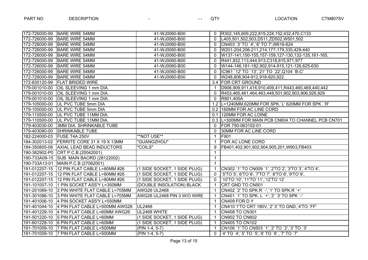| 172-726000-99 BARE WIRE 54MM                 | 41-WJ0060-B00                |              | R302,145,609,222,819,224,152,432,470,C133           |
|----------------------------------------------|------------------------------|--------------|-----------------------------------------------------|
| 172-726000-99 BARE WIRE 54MM                 | 41-WJ0060-B00                | $\Omega$     | L405,501,502,503,D511,ZD502,W501,502                |
| 172-726000-99 BARE WIRE 54MM                 | 41-WJ0060-B00                | $\Omega$     | CN403 `3' TO `4', `6' TO `7', W616-624              |
| 172-726000-99 BARE WIRE 54MM                 | 41-WJ0060-B00                | $\Omega$     | W201-204,206-211,214,177-179,335,429-440            |
| 172-726000-99 BARE WIRE 54MM                 | 41-WJ0060-B00                | $\Omega$     | W137-141,150-155,157-159,127-130,132-135,161-165,   |
| 172-726000-99   BARE WIRE 54MM               | 41-WJ0060-B00                | $\Omega$     | R441,832,113,444,913,C318,815,971,977               |
| 172-726000-99 BARE WIRE 54MM                 | 41-WJ0060-B00                | $\Omega$     | W144-146,181-182,902,914-915,121-126,625-630        |
| 172-726000-99 BARE WIRE 54MM                 | 41-WJ0060-B00                | $\Omega$     | IC961 `12' TO `13', `21' TO `22', Q104 `B-C'        |
| 172-726000-99 BARE WIRE 54MM                 | 41-WJ0060-B00                | $\Omega$     | W248,806,904-912,918-920,922                        |
| 172-830120-99 FLAT BRIDED WIRE               |                              |              | 3.4 FOR CRT GROUND                                  |
| 179-001010-00 OIL SLEEVING 1 mm DIA.         |                              |              | D906,909,911,416,910,409,411,R443,460,469,440,442   |
| 179-001010-00 OIL SLEEVING 1 mm DIA.         |                              | $\Omega$     | R453,465,461,464,463,448,501,902,903,906,926,929    |
| 179-001010-00 OIL SLEEVING 1 mm DIA.         |                              | $\Omega$     | R901,405A                                           |
| 179-105000-00 UL PVC TUBE 5mm DIA            |                              |              | 1.2  L=1240MM,620MM FOR SPK.`L' 620MM FOR SPK.`R'   |
| 179-105000-00 UL PVC TUBE 5mm DIA            |                              |              | 0.2 160MM FOR AC LINE CORD                          |
| 179-110500-00 UL PVC TUBE 11MM DIA.          |                              |              | 0.1 120MM FOR AC LOINE                              |
| 179-110500-00 UL PVC TUBE 11MM DIA.          |                              |              | 0.3 L=300MM FOR MAIN PCB CN604 TO CHANNEL PCB CN701 |
| 179-403030-00 3MM DIA. SHRINKABLE TUBE       |                              | $\Omega$     | FOR 750-063102-01                                   |
| 179-403080-00 SHRINKABLE TUBE                |                              | $\Omega$     | 30MM FOR AC LINE CORD                               |
| 182-224000-03 FUSE T4A 250V                  | <b>**NOT USE**</b>           | $\mathbf{1}$ | F901                                                |
| 184-302013-02 FERRITE CORE 31 X 19 X 13MM    | "GUANGZHOU"                  | $\mathbf 1$  | FOR AC LONE CORD                                    |
| 184-350805-08 AXIAL LEAD BEAD INDUCTORS      | "COILS"                      | 9            | FB401,402,901,902,904,905,201,W903,FB403            |
| 190-382902-P0 CRT P.C.B.(20042001)           |                              | $\mathbf{1}$ |                                                     |
| 190-733A09-15 SUB. MAIN BAORD (28122002)     |                              | $\mathbf{1}$ |                                                     |
| 190-733A13-01 MAIN P.C.B (27062001)          |                              | $\mathbf{1}$ |                                                     |
| 191-012207-15 12 PIN FLAT CABLE L=80MM #26   | (1 SIDE SOCKET, 1 SIDE PLUG) |              | CN302 `1' TO CN009 `1',`2'TO`2',`3'TO`3',`4'TO`4',  |
| 191-012207-15 12 PIN FLAT CABLE L=80MM #26   | (1 SIDE SOCKET, 1 SIDE PLUG) | $\Omega$     | `5'TO`5',`6'TO`6',`7'TO`7',`8'TO`8',`9'TO`9',       |
| 191-012207-15 12 PIN FLAT CABLE L=80MM #26   | (1 SIDE SOCKET, 1 SIDE PLUG) | $\Omega$     | '10'TO'10','11'TO'11','12'TO'12'                    |
| 191-101007-10 1 PIN SOCKET ASS'Y L=350MM     | (DOUBLE INSOLATION) BLACK    | $\mathbf{1}$ | CRT GND TO CN501                                    |
| 191-201069-10 2 PIN WHITE FLAT CABLE L=705MM | <b>AWG26 UL2468</b>          |              | CN402 `2' TO SPK.R `-',`1' TO SPK.R `+'             |
| 191-301086-10 3 PIN WHITE FLAT CABLE L=705MM | AWG26 UL2468 PIN 3 W/O WIRE  |              | CN401 `1' TO SPK. L `+',`2' `3' TO SPK `-'          |
| 191-401006-10 4 PIN SOCKET ASS'Y L=550MM     |                              |              | CN409 FOR D.Y                                       |
| 191-401044-10 4 PIN FLAT CABLE L=500MM AWG26 | <b>UL2468</b>                |              | CN410`1'TO CRT 180V, 2"3' TO GND, 4'TO `FF'         |
| 191-401229-10 4 PIN FLAT CABLE L=60MM AWG26  | UL2468 WHITE                 |              | <b>CN408 TO CN301</b>                               |
| 191-501220-10 5 PIN FLAT CABLE L=60MM        | (1 SIDE SOCKET, 1 SIDE PLUG) |              | <b>CN902 TO CN602</b>                               |
| 191-601228-10 6 PIN FLAT CABLE L=60MM        | (1 SIDE SOCKET, 1 SIDE PLUG) |              | <b>CN405 TO CN102</b>                               |
| 191-701009-10 7 PIN FLAT CABLE L=500MM       | (PIN 1-4, 5-7)               | 1            | CN106 '1' TO CN503 '1', '2' TO '2', '3' TO '3'      |
| 191-701009-10 7 PIN FLAT CABLE L=500MM       | $(PIN 1-4, 5-7)$             | $\Omega$     | '4' TO '4', '5' TO '5', '6' TO '6', '7' TO '7'      |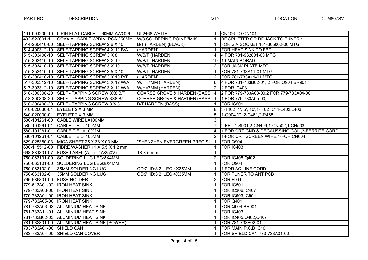|                           | 191-901209-10 9 PIN FLAT CABLE L=60MM AWG26  | UL2468 WHITE                           | $\mathbf 1$          | <b>CN406 TO CN101</b>                           |
|---------------------------|----------------------------------------------|----------------------------------------|----------------------|-------------------------------------------------|
|                           | 402-522001-11 COAXIAL CABLE W/DIN, RCA 250MM | W/3 SOLDERING POINT "MIKI"             | $\overline{1}$       | <b>RF SPLITTER OR RF JACK TO TUNER 1</b>        |
|                           | 514-260410-00 SELF-TAPPING SCREW 2.6 X 10    | B/T (HARDEN) {BLACK}                   | $\mathbf 1$          | FOR S.V SOCKET 161-305002-00 MTG                |
|                           | 514-400312-10 SELF-TAPPING SCREW 4 X 12 B/A  | (HARDEN)                               | 1                    | FOR HEAT SINK TO FBT                            |
|                           | 515-303408-10 SELF-TAPPING SCREW 3 X 8       | W/B/T (HARDEN)                         | 4                    | 4 FOR 781-932801-00 MTG                         |
|                           | 515-303410-10 SELF-TAPPING SCREW 3 X 10      | W/B/T (HARDEN)                         |                      | 19 19-MAIN BORAD                                |
|                           | 515-303410-10 SELF-TAPPING SCREW 3 X 10      | W/B/T (HARDEN)                         | 2                    | <b>FOR JACK PLATE MTG</b>                       |
|                           | 515-353410-10 SELF-TAPPING SCREW 3.5 X 10    | W/B/T (HARDEN)                         | $\mathbf{1}$         | FOR 781-733A11-01 MTG                           |
|                           | 516-300410-10 SELF-TAPPING SCREW 3 X 10 P/T  | (HARDEN)                               | $\overline{2}$       | FOR 781-733A11-01 MTG                           |
|                           | 517-303312-10 SELF-TAPPING SCREW 3 X 12 W/A  | W/H=7MM (HARDEN)                       | 6                    | 4 FOR 781-733B02-01, 2 FOR Q904, BR901          |
|                           | 517-303312-10 SELF-TAPPING SCREW 3 X 12 W/A  | W/H=7MM (HARDEN)                       | 2                    | <b>2 FOR IC403</b>                              |
|                           | 518-300308-20 SELF - TAPPING SCREW 3X8 B/T   | <b>COARSE GROVE &amp; HARDEN (BASS</b> | $\overline{4}$       | 2 FOR 779-733A03-00,2 FOR 779-733A04-00         |
|                           | 518-300308-20 SELF - TAPPING SCREW 3X8 B/T   | <b>COARSE GROVE &amp; HARDEN (BASS</b> | $\overline{1}$       | 1 FOR 779-733A05-00,                            |
|                           | 518-300408-20 SELF - TAPPING SCREW 3 X 8     | <b>B/T HARDEN (BASS)</b>               | $\mathbf{1}$         | FOR IC501                                       |
|                           | 540-020030-01 EYELET 2 X 3 MM                |                                        | 8                    | 3-T402 `1', `5', `10', 1-`402 `C', 4-L402, L403 |
|                           | 540-020030-01 EYELET 2 X 3 MM                |                                        | 5                    | 1-Q904 `D', 2-C461, 2-R465                      |
|                           | 580-101261-00 CABLE WIRE L=100MM             |                                        | 3                    |                                                 |
|                           | 580-101261-01 CABLE TIE L=100MM              |                                        |                      | 2-FBT, 1-S901, 2-CN409, 1-CN502, 1-CN503.       |
|                           | 580-101261-01 CABLE TIE L=100MM              |                                        | $\overline{4}$       | 1 FOR CRT GND & DEGAUSSING COIL, 3-FERRITE CORD |
|                           | 580-101261-01 CABLE TIE L=100MM              |                                        | $2^{\circ}$          | 1-FOR CRT SCREEN WIRE, 1-FOR CN604              |
|                           | 629-025380-03 MICA SHEET 25 X 38 X 03 MM     | "SHENZHEN EVERGREEN PRECISI            | $\overline{1}$       | FOR Q904                                        |
|                           | 630-115512-00 FIBRE WASHER 11 X 5.5 X 1.2 mm |                                        | $\mathbf{1}$         | FOR IC403                                       |
|                           | 668-881301-07 FUSE LABEL (A) - (T4A/250V)    | 18 X 5 mm                              | $\mathbf{1}$         |                                                 |
|                           | 750-063101-00 SOLDERING LUG LEG:8X4MM        |                                        | $\mathbf{2}^{\circ}$ | <b>FOR IC405, Q402</b>                          |
|                           | 750-063101-00 SOLDERING LUG LEG:8X4MM        |                                        | $\mathbf{1}$         | FOR Q904                                        |
|                           | 750-063102-01 35MM SOLDERING LUG             | OD:7 ID:3.2 LEG:4X35MM                 | $\mathbf{1}$         | 1 FOR AC LINE CORD                              |
|                           | 750-063102-01 35MM SOLDERING LUG             | OD:7 ID:3.2 LEG:4X35MM                 | $\mathbf{1}$         | FOR TUNER TO ANT PCB                            |
| 766-686801-00 FUSE HOLDER |                                              |                                        | 2                    | FOR F901                                        |
|                           | 779-613A01-02  IRON HEAT SINK                |                                        | $\mathbf{1}$         | FOR IC501                                       |
|                           | 779-733A03-00   IRON HEAT SINK               |                                        | 1.                   | <b>FOR IC306,IC407</b>                          |
|                           | 779-733A04-00   IRON HEAT SINK               |                                        | $\mathbf{1}$         | <b>FOR IC903, IC904</b>                         |
|                           | 779-733A05-00  IRON HEAT SINK                |                                        | -1                   | FOR Q401                                        |
|                           | 781-733A03-03 ALUMINIUM HEAT SINK            |                                        | -1                   | <b>FOR Q904, BR901</b>                          |
|                           | 781-733A11-01 ALUMINIUM HEAT SINK            |                                        | $\mathbf 1$          | FOR IC403                                       |
|                           | 781-733B02-03 ALUMINIUM HEAT SINK            |                                        | $\mathbf 1$          | FOR IC405, Q402, Q407                           |
|                           | 781-932801-00 ALUMINIUM HEAT SINK (POWER)    |                                        | 1                    | FOR 781-733B02-01                               |
| 783-733A01-00 SHIELD CAN  |                                              |                                        | $\mathbf{1}$         | FOR MAIN P.C.B IC101                            |
|                           | 783-733A04-00 SHIELD CAN COVER               |                                        | $\mathbf{1}$         | FOR SHIELD CAN 783-733A01-00                    |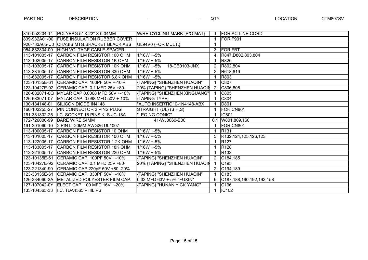|               | 810-052204-14 POLYBAG 5" X 22" X 0.04MM       | W/RE-CYCLING MARK {P/O MAT}   |                | <b>FOR AC LINE CORD</b>       |
|---------------|-----------------------------------------------|-------------------------------|----------------|-------------------------------|
|               | 839-932A01-00 FUSE INSULATION RUBBER COVER    |                               | -1             | FOR F901                      |
|               | 920-733A05-U0 CHASIS MTG.BRACKET BLACK ABS    | UL94V0 {FOR MULT.}            | -1             |                               |
| 954-882804-00 | <b>HIGH VOLTAGE CABLE SPACER</b>              |                               | 3              | <b>FOR FBT</b>                |
| 113-101005-17 | CARBON FILM RESISTOR 100 OHM                  | $1/16W + 5%$                  | 4              | R847, D802, 803, 804          |
| 113-102005-17 | CARBON FILM RESISTOR 1K OHM                   | $1/16W + 5%$                  |                | R826                          |
|               | 113-103005-17 CARBON FILM RESISTOR 10K OHM    | $1/16W + 5%$<br>18-CB0103-JNX | $\overline{2}$ | R802,804                      |
| 113-331005-17 | CARBON FILM RESISTOR 330 OHM                  | $1/16W + 5%$                  | $\overline{2}$ | R618,619                      |
|               | 113-682005-17 CARBON FILM RESISTOR 6.8K OHM   | 1/16W +-5%                    |                | R803                          |
| 123-10135E-61 | CERAMIC CAP. 100PF 50V +-10%                  | {TAPING} "SHENZHEN HUAQIN"    |                | C807                          |
|               | 123-10427E-92 CERAMIC CAP. 0.1 MFD 25V +80-   | 20% {TAPING} "SHENZHEN HUAQIN | $\overline{2}$ | C806,808                      |
|               | 126-682071-0Q MYLAR CAP 0.0068 MFD 50V +-10%  | {TAPING} "SHENZHEN XINGUANG"  |                | C805                          |
|               | 126-683071-07 MYLAR CAP. 0.068 MFD 50V +-10%  | {TAPING TYPE}                 |                | C804                          |
|               | 130-134148-01 SILICON DIODE IN4148            | "AUTO INSERTIO10-1N4148-ABX   |                | D801                          |
|               | 160-102255-27 PIN CONNECTOR 2 PINS PLUG       | STRAIGHT (UL) (S.H.S)         |                | FOR CN801                     |
|               | 161-381802-25 II.C. SOCKET 18 PINS KLS-JC-18A | "LEQING CONIC"                | -1             | <b>IC801</b>                  |
| 172-726000-99 | <b>BARE WIRE 54MM</b>                         | 41-WJ0060-B00                 |                | 0.1 W801,809,160              |
|               | 191-201060-10 2 PIN L=20MM AWG26 UL1007       |                               |                | FOR CN801                     |
| 113-100005-17 | CARBON FILM RESISTOR 10 OHM                   | $1/16W + 5%$                  | -1             | R <sub>131</sub>              |
| 113-101005-17 | CARBON FILM RESISTOR 100 OHM                  | $1/16W + 5%$                  | 5              | R132,124,125,126,123          |
| 113-122005-17 | CARBON FILM RESISTOR 1.2K OHM                 | $1/16W + 5%$                  |                | R <sub>127</sub>              |
|               | 113-183005-17 CARBON FILM RESISTOR 18K OHM    | 1/16W +-5%                    |                | R <sub>128</sub>              |
| 113-221005-17 | CARBON FILM RESISTOR 220 OHM                  | $1/16W + 5%$                  | -1             | R <sub>133</sub>              |
|               | 123-10135E-61 CERAMIC CAP. 100PF 50V +-10%    | {TAPING} "SHENZHEN HUAQIN"    | $\overline{2}$ | C184,185                      |
|               | 123-10427E-92 CERAMIC CAP. 0.1 MFD 25V +80-   | 20% {TAPING} "SHENZHEN HUAQIN |                | C <sub>195</sub>              |
|               | 123-221340-90 CERAMIC CAP.220pF 50V +80 -20%  |                               | $\overline{2}$ | C194,189                      |
|               | 123-33135E-61 CERAMIC CAP. 330PF 50V +-10%    | {TAPING} "SHENZHEN HUAQIN"    | -1             | C <sub>183</sub>              |
|               | 126-334060-2A METALIZED POLYESTER FILM CAP.   | 0.33 MFD 63V +-5% "FUXIN"     | 6              | C187, 188, 190, 192, 193, 158 |
|               | 127-107042-0Y ELECT CAP. 100 MFD 16V +-20%    | {TAPING} "HUNAN YICK YANG"    |                | C <sub>196</sub>              |
|               | 133-104565-33   I.C. TDA4565 PHILIPS          |                               |                | IC102                         |